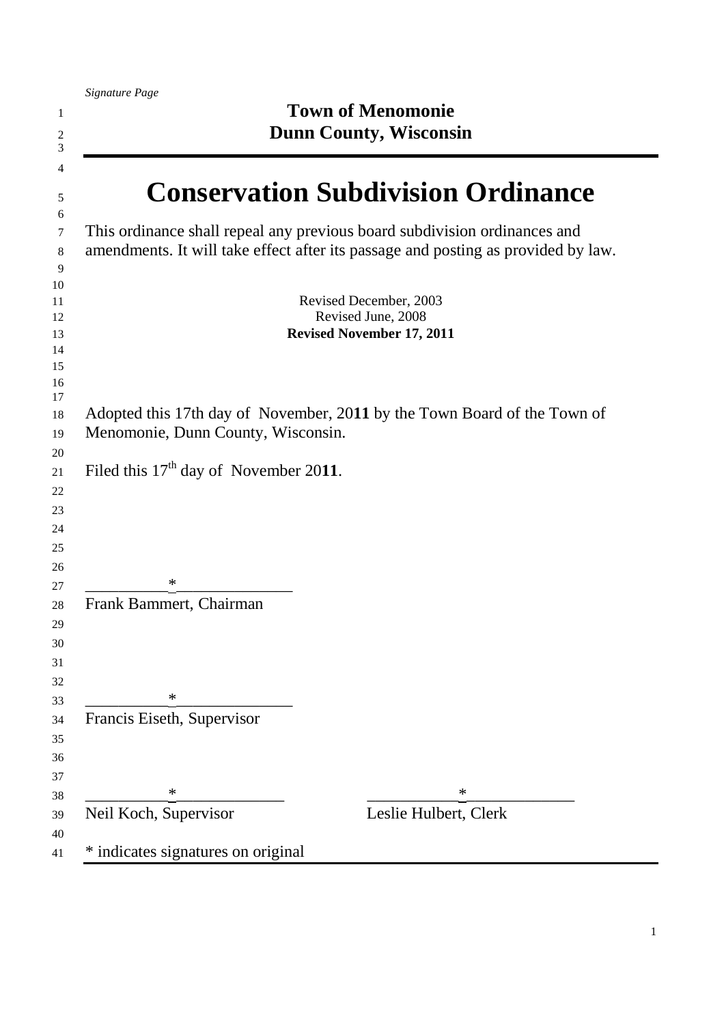|                                         | <b>Town of Menomonie</b><br><b>Dunn County, Wisconsin</b>                                                                                                      |
|-----------------------------------------|----------------------------------------------------------------------------------------------------------------------------------------------------------------|
|                                         | <b>Conservation Subdivision Ordinance</b>                                                                                                                      |
|                                         | This ordinance shall repeal any previous board subdivision ordinances and<br>amendments. It will take effect after its passage and posting as provided by law. |
|                                         | Revised December, 2003<br>Revised June, 2008<br><b>Revised November 17, 2011</b>                                                                               |
| Menomonie, Dunn County, Wisconsin.      | Adopted this 17th day of November, 2011 by the Town Board of the Town of                                                                                       |
| Filed this $17th$ day of November 2011. |                                                                                                                                                                |
| ∗                                       |                                                                                                                                                                |
| Frank Bammert, Chairman                 |                                                                                                                                                                |
| ∗<br>Francis Eiseth, Supervisor         |                                                                                                                                                                |
|                                         |                                                                                                                                                                |
| ∗<br>Neil Koch, Supervisor              | ∗<br>Leslie Hulbert, Clerk                                                                                                                                     |
| * indicates signatures on original      |                                                                                                                                                                |

ı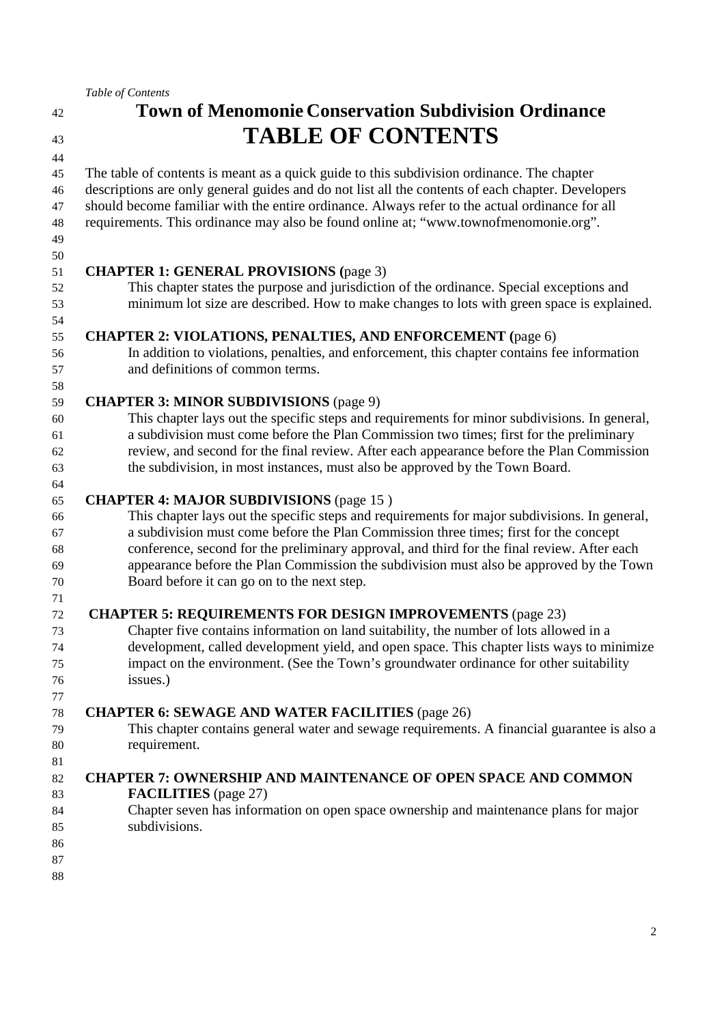# **Town of Menomonie Conservation Subdivision Ordinance TABLE OF CONTENTS**

 The table of contents is meant as a quick guide to this subdivision ordinance. The chapter descriptions are only general guides and do not list all the contents of each chapter. Developers should become familiar with the entire ordinance. Always refer to the actual ordinance for all requirements. This ordinance may also be found online at; "www.townofmenomonie.org".

 

## **CHAPTER 1: GENERAL PROVISIONS (**page 3)

This chapter states the purpose and jurisdiction of the ordinance. Special exceptions and minimum lot size are described. How to make changes to lots with green space is explained.

## **CHAPTER 2: VIOLATIONS, PENALTIES, AND ENFORCEMENT (**page 6)

In addition to violations, penalties, and enforcement, this chapter contains fee information and definitions of common terms.

## **CHAPTER 3: MINOR SUBDIVISIONS** (page 9)

This chapter lays out the specific steps and requirements for minor subdivisions. In general, a subdivision must come before the Plan Commission two times; first for the preliminary review, and second for the final review. After each appearance before the Plan Commission the subdivision, in most instances, must also be approved by the Town Board.

#### **CHAPTER 4: MAJOR SUBDIVISIONS** (page 15 )

This chapter lays out the specific steps and requirements for major subdivisions. In general, a subdivision must come before the Plan Commission three times; first for the concept conference, second for the preliminary approval, and third for the final review. After each appearance before the Plan Commission the subdivision must also be approved by the Town Board before it can go on to the next step.

#### **CHAPTER 5: REQUIREMENTS FOR DESIGN IMPROVEMENTS** (page 23)

Chapter five contains information on land suitability, the number of lots allowed in a development, called development yield, and open space. This chapter lists ways to minimize impact on the environment. (See the Town's groundwater ordinance for other suitability issues.)

### **CHAPTER 6: SEWAGE AND WATER FACILITIES** (page 26)

This chapter contains general water and sewage requirements. A financial guarantee is also a requirement.

### **CHAPTER 7: OWNERSHIP AND MAINTENANCE OF OPEN SPACE AND COMMON FACILITIES** (page 27)

- Chapter seven has information on open space ownership and maintenance plans for major subdivisions.
- 

- 
-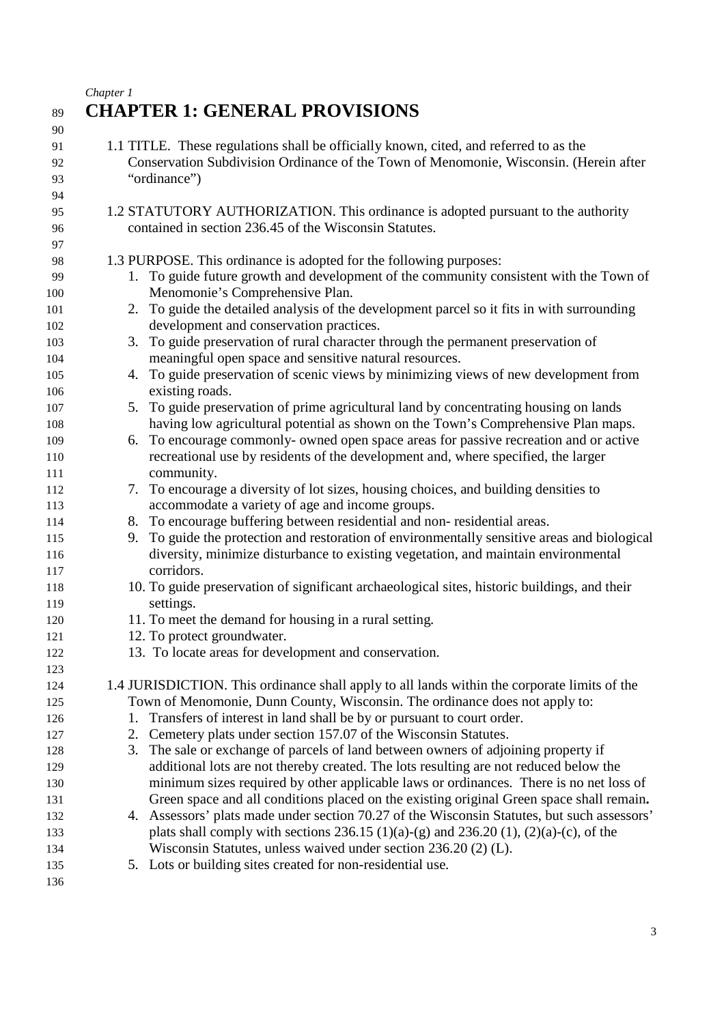*Chapter 1* 

|                              | $Cn$ upier 1                                                                                                                                                                                                                                                                                  |
|------------------------------|-----------------------------------------------------------------------------------------------------------------------------------------------------------------------------------------------------------------------------------------------------------------------------------------------|
| 89                           | <b>CHAPTER 1: GENERAL PROVISIONS</b>                                                                                                                                                                                                                                                          |
| 90<br>91<br>92<br>93<br>94   | 1.1 TITLE. These regulations shall be officially known, cited, and referred to as the<br>Conservation Subdivision Ordinance of the Town of Menomonie, Wisconsin. (Herein after<br>"ordinance")                                                                                                |
| 95<br>96                     | 1.2 STATUTORY AUTHORIZATION. This ordinance is adopted pursuant to the authority<br>contained in section 236.45 of the Wisconsin Statutes.                                                                                                                                                    |
| 97<br>98<br>99<br>100<br>101 | 1.3 PURPOSE. This ordinance is adopted for the following purposes:<br>1. To guide future growth and development of the community consistent with the Town of<br>Menomonie's Comprehensive Plan.<br>2. To guide the detailed analysis of the development parcel so it fits in with surrounding |
| 102<br>103<br>104            | development and conservation practices.<br>3. To guide preservation of rural character through the permanent preservation of<br>meaningful open space and sensitive natural resources.                                                                                                        |
| 105<br>106                   | To guide preservation of scenic views by minimizing views of new development from<br>4.<br>existing roads.                                                                                                                                                                                    |
| 107<br>108                   | 5. To guide preservation of prime agricultural land by concentrating housing on lands<br>having low agricultural potential as shown on the Town's Comprehensive Plan maps.                                                                                                                    |
| 109<br>110<br>111            | To encourage commonly- owned open space areas for passive recreation and or active<br>6.<br>recreational use by residents of the development and, where specified, the larger<br>community.                                                                                                   |
| 112<br>113                   | 7. To encourage a diversity of lot sizes, housing choices, and building densities to<br>accommodate a variety of age and income groups.                                                                                                                                                       |
| 114<br>115<br>116<br>117     | 8. To encourage buffering between residential and non-residential areas.<br>To guide the protection and restoration of environmentally sensitive areas and biological<br>9.<br>diversity, minimize disturbance to existing vegetation, and maintain environmental<br>corridors.               |
| 118<br>119                   | 10. To guide preservation of significant archaeological sites, historic buildings, and their<br>settings.                                                                                                                                                                                     |
| 120<br>121                   | 11. To meet the demand for housing in a rural setting.<br>12. To protect groundwater.                                                                                                                                                                                                         |
| 122<br>123                   | 13. To locate areas for development and conservation.                                                                                                                                                                                                                                         |
| 124                          | 1.4 JURISDICTION. This ordinance shall apply to all lands within the corporate limits of the                                                                                                                                                                                                  |
| 125                          | Town of Menomonie, Dunn County, Wisconsin. The ordinance does not apply to:                                                                                                                                                                                                                   |
| 126                          | Transfers of interest in land shall be by or pursuant to court order.<br>1.<br>2. Cemetery plats under section 157.07 of the Wisconsin Statutes.                                                                                                                                              |
| 127<br>128                   | 3. The sale or exchange of parcels of land between owners of adjoining property if                                                                                                                                                                                                            |
| 129                          | additional lots are not thereby created. The lots resulting are not reduced below the                                                                                                                                                                                                         |
| 130                          | minimum sizes required by other applicable laws or ordinances. There is no net loss of                                                                                                                                                                                                        |
| 131                          | Green space and all conditions placed on the existing original Green space shall remain.                                                                                                                                                                                                      |
| 132                          | 4. Assessors' plats made under section 70.27 of the Wisconsin Statutes, but such assessors'                                                                                                                                                                                                   |
| 133                          | plats shall comply with sections 236.15 (1)(a)-(g) and 236.20 (1), (2)(a)-(c), of the                                                                                                                                                                                                         |
| 134                          | Wisconsin Statutes, unless waived under section 236.20 (2) (L).                                                                                                                                                                                                                               |
| 135                          | 5. Lots or building sites created for non-residential use.                                                                                                                                                                                                                                    |
| 136                          |                                                                                                                                                                                                                                                                                               |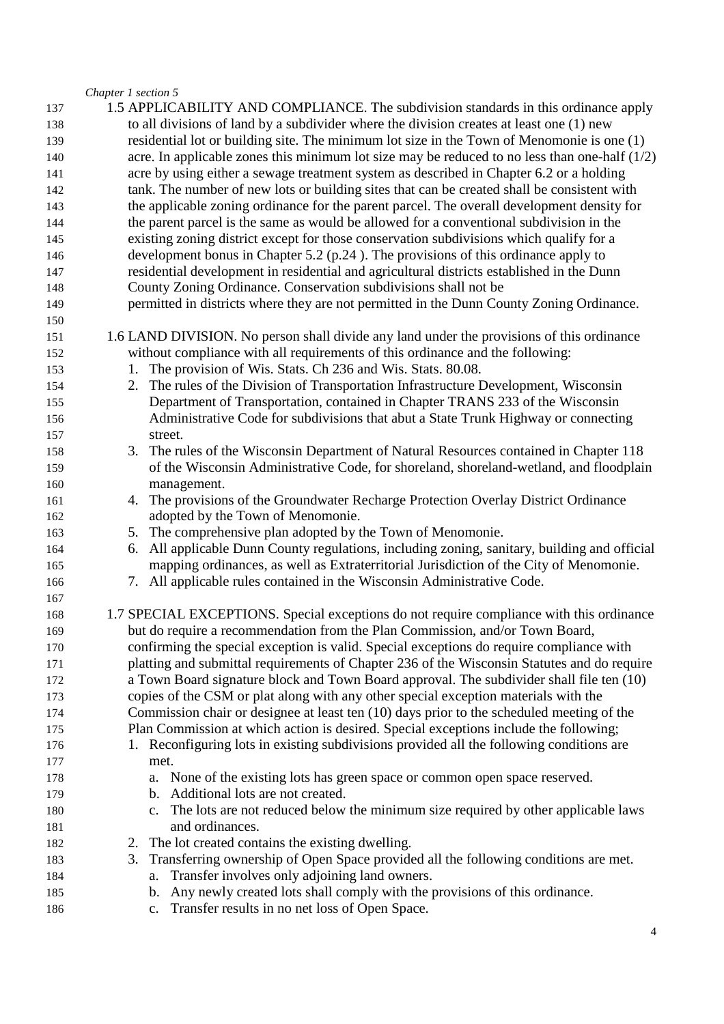*Chapter 1 section 5* 

|     | Chapter 1 section 5                                                                                 |
|-----|-----------------------------------------------------------------------------------------------------|
| 137 | 1.5 APPLICABILITY AND COMPLIANCE. The subdivision standards in this ordinance apply                 |
| 138 | to all divisions of land by a subdivider where the division creates at least one (1) new            |
| 139 | residential lot or building site. The minimum lot size in the Town of Menomonie is one $(1)$        |
| 140 | acre. In applicable zones this minimum lot size may be reduced to no less than one-half $(1/2)$     |
| 141 | acre by using either a sewage treatment system as described in Chapter 6.2 or a holding             |
| 142 | tank. The number of new lots or building sites that can be created shall be consistent with         |
| 143 | the applicable zoning ordinance for the parent parcel. The overall development density for          |
| 144 | the parent parcel is the same as would be allowed for a conventional subdivision in the             |
| 145 | existing zoning district except for those conservation subdivisions which qualify for a             |
| 146 | development bonus in Chapter 5.2 (p.24). The provisions of this ordinance apply to                  |
| 147 | residential development in residential and agricultural districts established in the Dunn           |
| 148 | County Zoning Ordinance. Conservation subdivisions shall not be                                     |
| 149 | permitted in districts where they are not permitted in the Dunn County Zoning Ordinance.            |
| 150 |                                                                                                     |
| 151 | 1.6 LAND DIVISION. No person shall divide any land under the provisions of this ordinance           |
| 152 | without compliance with all requirements of this ordinance and the following:                       |
| 153 | The provision of Wis. Stats. Ch 236 and Wis. Stats. 80.08.<br>1.                                    |
| 154 | 2. The rules of the Division of Transportation Infrastructure Development, Wisconsin                |
| 155 | Department of Transportation, contained in Chapter TRANS 233 of the Wisconsin                       |
| 156 | Administrative Code for subdivisions that abut a State Trunk Highway or connecting                  |
| 157 | street.                                                                                             |
| 158 | The rules of the Wisconsin Department of Natural Resources contained in Chapter 118<br>3.           |
| 159 | of the Wisconsin Administrative Code, for shoreland, shoreland-wetland, and floodplain              |
| 160 | management.                                                                                         |
| 161 | 4. The provisions of the Groundwater Recharge Protection Overlay District Ordinance                 |
| 162 | adopted by the Town of Menomonie.                                                                   |
| 163 | 5. The comprehensive plan adopted by the Town of Menomonie.                                         |
| 164 | All applicable Dunn County regulations, including zoning, sanitary, building and official<br>6.     |
| 165 | mapping ordinances, as well as Extraterritorial Jurisdiction of the City of Menomonie.              |
| 166 | 7. All applicable rules contained in the Wisconsin Administrative Code.                             |
| 167 |                                                                                                     |
| 168 | 1.7 SPECIAL EXCEPTIONS. Special exceptions do not require compliance with this ordinance            |
| 169 | but do require a recommendation from the Plan Commission, and/or Town Board,                        |
| 170 | confirming the special exception is valid. Special exceptions do require compliance with            |
| 171 | platting and submittal requirements of Chapter 236 of the Wisconsin Statutes and do require         |
| 172 | a Town Board signature block and Town Board approval. The subdivider shall file ten (10)            |
| 173 | copies of the CSM or plat along with any other special exception materials with the                 |
| 174 | Commission chair or designee at least ten (10) days prior to the scheduled meeting of the           |
| 175 | Plan Commission at which action is desired. Special exceptions include the following;               |
| 176 | Reconfiguring lots in existing subdivisions provided all the following conditions are               |
| 177 | met.                                                                                                |
| 178 | a. None of the existing lots has green space or common open space reserved.                         |
| 179 | b. Additional lots are not created.                                                                 |
| 180 | The lots are not reduced below the minimum size required by other applicable laws<br>$\mathbf{c}$ . |
| 181 | and ordinances.                                                                                     |
| 182 | 2. The lot created contains the existing dwelling.                                                  |
| 183 | Transferring ownership of Open Space provided all the following conditions are met.<br>3.           |
| 184 | Transfer involves only adjoining land owners.<br>a.                                                 |
| 185 | b. Any newly created lots shall comply with the provisions of this ordinance.                       |
| 186 | Transfer results in no net loss of Open Space.<br>c.                                                |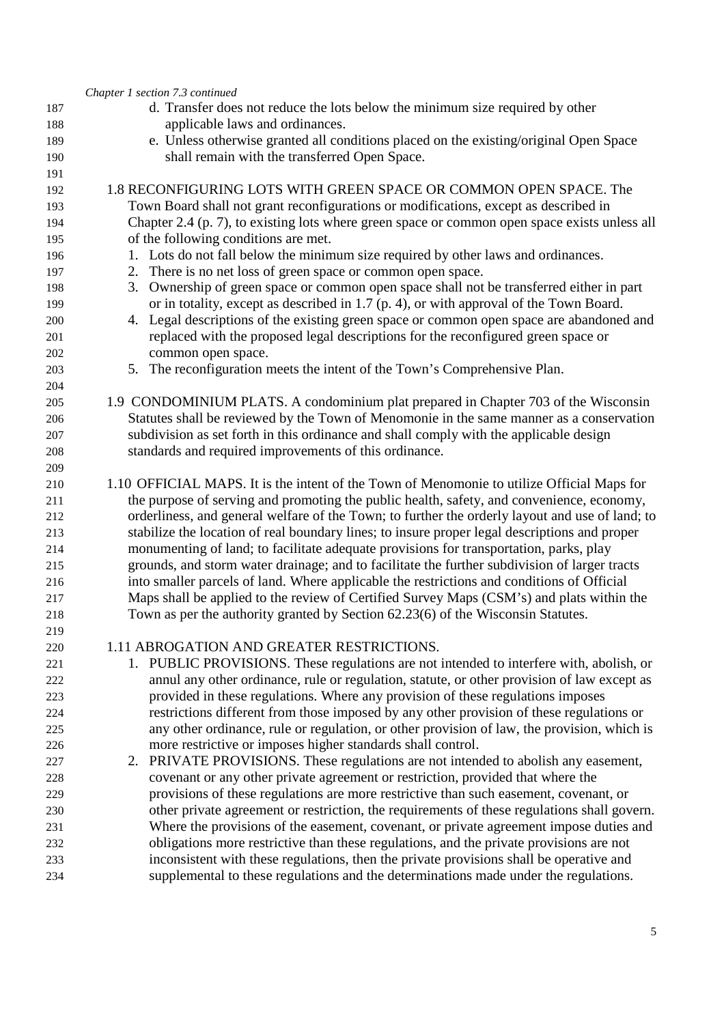|            | Chapter 1 section 7.3 continued                                                                 |
|------------|-------------------------------------------------------------------------------------------------|
| 187        | d. Transfer does not reduce the lots below the minimum size required by other                   |
| 188        | applicable laws and ordinances.                                                                 |
| 189        | e. Unless otherwise granted all conditions placed on the existing/original Open Space           |
| 190        | shall remain with the transferred Open Space.                                                   |
| 191        |                                                                                                 |
| 192        | 1.8 RECONFIGURING LOTS WITH GREEN SPACE OR COMMON OPEN SPACE. The                               |
| 193        | Town Board shall not grant reconfigurations or modifications, except as described in            |
| 194        | Chapter 2.4 (p. 7), to existing lots where green space or common open space exists unless all   |
| 195        | of the following conditions are met.                                                            |
| 196        | 1. Lots do not fall below the minimum size required by other laws and ordinances.               |
| 197        | 2. There is no net loss of green space or common open space.                                    |
| 198        | 3. Ownership of green space or common open space shall not be transferred either in part        |
| 199        | or in totality, except as described in 1.7 (p. 4), or with approval of the Town Board.          |
| 200        | 4. Legal descriptions of the existing green space or common open space are abandoned and        |
| 201        | replaced with the proposed legal descriptions for the reconfigured green space or               |
| 202        | common open space.                                                                              |
| 203        | 5. The reconfiguration meets the intent of the Town's Comprehensive Plan.                       |
| 204        |                                                                                                 |
| 205        | 1.9 CONDOMINIUM PLATS. A condominium plat prepared in Chapter 703 of the Wisconsin              |
| 206        | Statutes shall be reviewed by the Town of Menomonie in the same manner as a conservation        |
| 207        | subdivision as set forth in this ordinance and shall comply with the applicable design          |
| 208        | standards and required improvements of this ordinance.                                          |
| 209        | 1.10 OFFICIAL MAPS. It is the intent of the Town of Menomonie to utilize Official Maps for      |
| 210<br>211 | the purpose of serving and promoting the public health, safety, and convenience, economy,       |
| 212        | orderliness, and general welfare of the Town; to further the orderly layout and use of land; to |
| 213        | stabilize the location of real boundary lines; to insure proper legal descriptions and proper   |
| 214        | monumenting of land; to facilitate adequate provisions for transportation, parks, play          |
| 215        | grounds, and storm water drainage; and to facilitate the further subdivision of larger tracts   |
| 216        | into smaller parcels of land. Where applicable the restrictions and conditions of Official      |
| 217        | Maps shall be applied to the review of Certified Survey Maps (CSM's) and plats within the       |
| 218        | Town as per the authority granted by Section 62.23(6) of the Wisconsin Statutes.                |
| 219        |                                                                                                 |
| 220        | 1.11 ABROGATION AND GREATER RESTRICTIONS.                                                       |
| 221        | 1. PUBLIC PROVISIONS. These regulations are not intended to interfere with, abolish, or         |
| 222        | annul any other ordinance, rule or regulation, statute, or other provision of law except as     |
| 223        | provided in these regulations. Where any provision of these regulations imposes                 |
| 224        | restrictions different from those imposed by any other provision of these regulations or        |
| 225        | any other ordinance, rule or regulation, or other provision of law, the provision, which is     |
| 226        | more restrictive or imposes higher standards shall control.                                     |
| 227        | 2. PRIVATE PROVISIONS. These regulations are not intended to abolish any easement,              |
| 228        | covenant or any other private agreement or restriction, provided that where the                 |
| 229        | provisions of these regulations are more restrictive than such easement, covenant, or           |
| 230        | other private agreement or restriction, the requirements of these regulations shall govern.     |
| 231        | Where the provisions of the easement, covenant, or private agreement impose duties and          |
| 232        | obligations more restrictive than these regulations, and the private provisions are not         |
| 233        | inconsistent with these regulations, then the private provisions shall be operative and         |
| 234        | supplemental to these regulations and the determinations made under the regulations.            |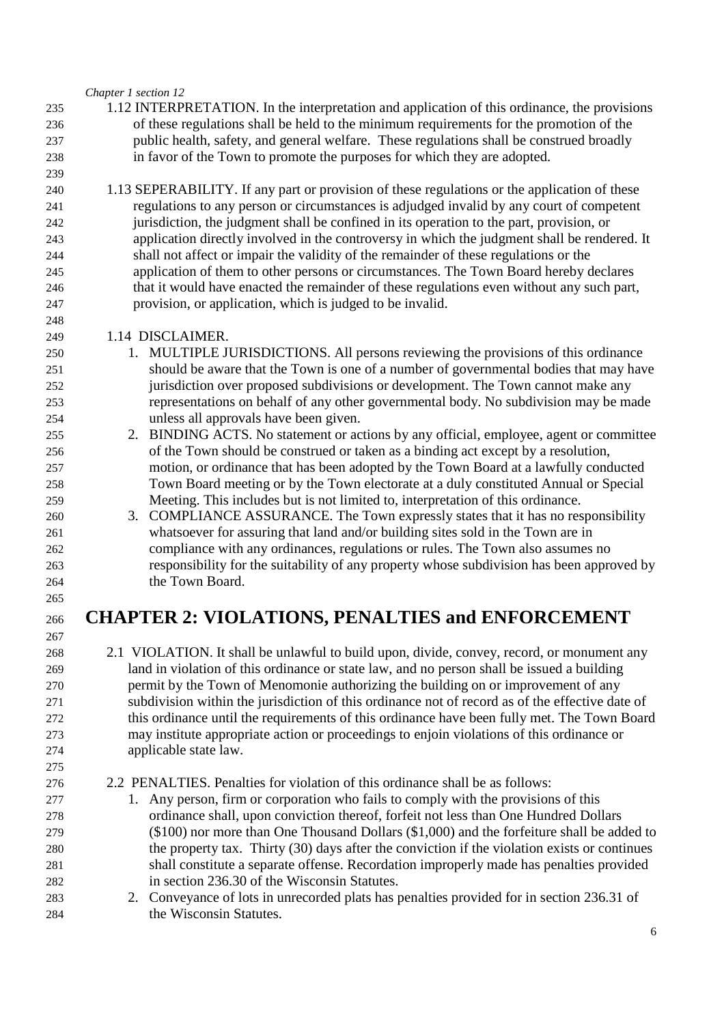*Chapter 1 section 12* 

- 1.12 INTERPRETATION. In the interpretation and application of this ordinance, the provisions of these regulations shall be held to the minimum requirements for the promotion of the public health, safety, and general welfare. These regulations shall be construed broadly in favor of the Town to promote the purposes for which they are adopted.
- 1.13 SEPERABILITY. If any part or provision of these regulations or the application of these regulations to any person or circumstances is adjudged invalid by any court of competent jurisdiction, the judgment shall be confined in its operation to the part, provision, or application directly involved in the controversy in which the judgment shall be rendered. It shall not affect or impair the validity of the remainder of these regulations or the application of them to other persons or circumstances. The Town Board hereby declares that it would have enacted the remainder of these regulations even without any such part, provision, or application, which is judged to be invalid.
- 1.14 DISCLAIMER.
- 1. MULTIPLE JURISDICTIONS. All persons reviewing the provisions of this ordinance should be aware that the Town is one of a number of governmental bodies that may have jurisdiction over proposed subdivisions or development. The Town cannot make any representations on behalf of any other governmental body. No subdivision may be made unless all approvals have been given.
- 2. BINDING ACTS. No statement or actions by any official, employee, agent or committee of the Town should be construed or taken as a binding act except by a resolution, motion, or ordinance that has been adopted by the Town Board at a lawfully conducted Town Board meeting or by the Town electorate at a duly constituted Annual or Special Meeting. This includes but is not limited to, interpretation of this ordinance.
- 3. COMPLIANCE ASSURANCE. The Town expressly states that it has no responsibility whatsoever for assuring that land and/or building sites sold in the Town are in compliance with any ordinances, regulations or rules. The Town also assumes no responsibility for the suitability of any property whose subdivision has been approved by the Town Board.

# **CHAPTER 2: VIOLATIONS, PENALTIES and ENFORCEMENT**

- 2.1 VIOLATION. It shall be unlawful to build upon, divide, convey, record, or monument any land in violation of this ordinance or state law, and no person shall be issued a building permit by the Town of Menomonie authorizing the building on or improvement of any subdivision within the jurisdiction of this ordinance not of record as of the effective date of this ordinance until the requirements of this ordinance have been fully met. The Town Board may institute appropriate action or proceedings to enjoin violations of this ordinance or applicable state law.
- 2.2 PENALTIES. Penalties for violation of this ordinance shall be as follows:
- 1. Any person, firm or corporation who fails to comply with the provisions of this ordinance shall, upon conviction thereof, forfeit not less than One Hundred Dollars (\$100) nor more than One Thousand Dollars (\$1,000) and the forfeiture shall be added to the property tax. Thirty (30) days after the conviction if the violation exists or continues shall constitute a separate offense. Recordation improperly made has penalties provided in section 236.30 of the Wisconsin Statutes.
- 2. Conveyance of lots in unrecorded plats has penalties provided for in section 236.31 of the Wisconsin Statutes.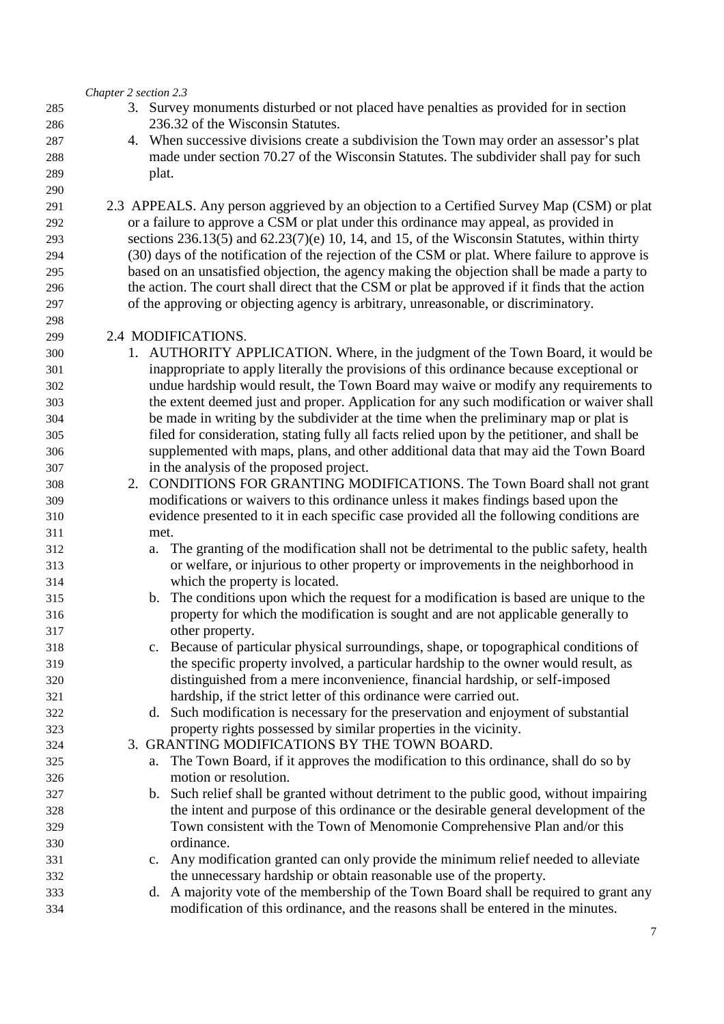*Chapter 2 section 2.3* 

- 3. Survey monuments disturbed or not placed have penalties as provided for in section 236.32 of the Wisconsin Statutes.
- 4. When successive divisions create a subdivision the Town may order an assessor's plat made under section 70.27 of the Wisconsin Statutes. The subdivider shall pay for such plat.
- 2.3 APPEALS. Any person aggrieved by an objection to a Certified Survey Map (CSM) or plat or a failure to approve a CSM or plat under this ordinance may appeal, as provided in sections 236.13(5) and 62.23(7)(e) 10, 14, and 15, of the Wisconsin Statutes, within thirty (30) days of the notification of the rejection of the CSM or plat. Where failure to approve is based on an unsatisfied objection, the agency making the objection shall be made a party to the action. The court shall direct that the CSM or plat be approved if it finds that the action of the approving or objecting agency is arbitrary, unreasonable, or discriminatory.

### 2.4 MODIFICATIONS.

- 1. AUTHORITY APPLICATION. Where, in the judgment of the Town Board, it would be inappropriate to apply literally the provisions of this ordinance because exceptional or undue hardship would result, the Town Board may waive or modify any requirements to the extent deemed just and proper. Application for any such modification or waiver shall be made in writing by the subdivider at the time when the preliminary map or plat is filed for consideration, stating fully all facts relied upon by the petitioner, and shall be supplemented with maps, plans, and other additional data that may aid the Town Board in the analysis of the proposed project.
- 2. CONDITIONS FOR GRANTING MODIFICATIONS. The Town Board shall not grant modifications or waivers to this ordinance unless it makes findings based upon the evidence presented to it in each specific case provided all the following conditions are met.
- a. The granting of the modification shall not be detrimental to the public safety, health or welfare, or injurious to other property or improvements in the neighborhood in which the property is located.
- b. The conditions upon which the request for a modification is based are unique to the property for which the modification is sought and are not applicable generally to other property.
- c. Because of particular physical surroundings, shape, or topographical conditions of the specific property involved, a particular hardship to the owner would result, as distinguished from a mere inconvenience, financial hardship, or self-imposed hardship, if the strict letter of this ordinance were carried out.
- d. Such modification is necessary for the preservation and enjoyment of substantial property rights possessed by similar properties in the vicinity.
- 3. GRANTING MODIFICATIONS BY THE TOWN BOARD.
- a. The Town Board, if it approves the modification to this ordinance, shall do so by motion or resolution.
- b. Such relief shall be granted without detriment to the public good, without impairing the intent and purpose of this ordinance or the desirable general development of the Town consistent with the Town of Menomonie Comprehensive Plan and/or this ordinance.
- c. Any modification granted can only provide the minimum relief needed to alleviate the unnecessary hardship or obtain reasonable use of the property.
- d. A majority vote of the membership of the Town Board shall be required to grant any modification of this ordinance, and the reasons shall be entered in the minutes.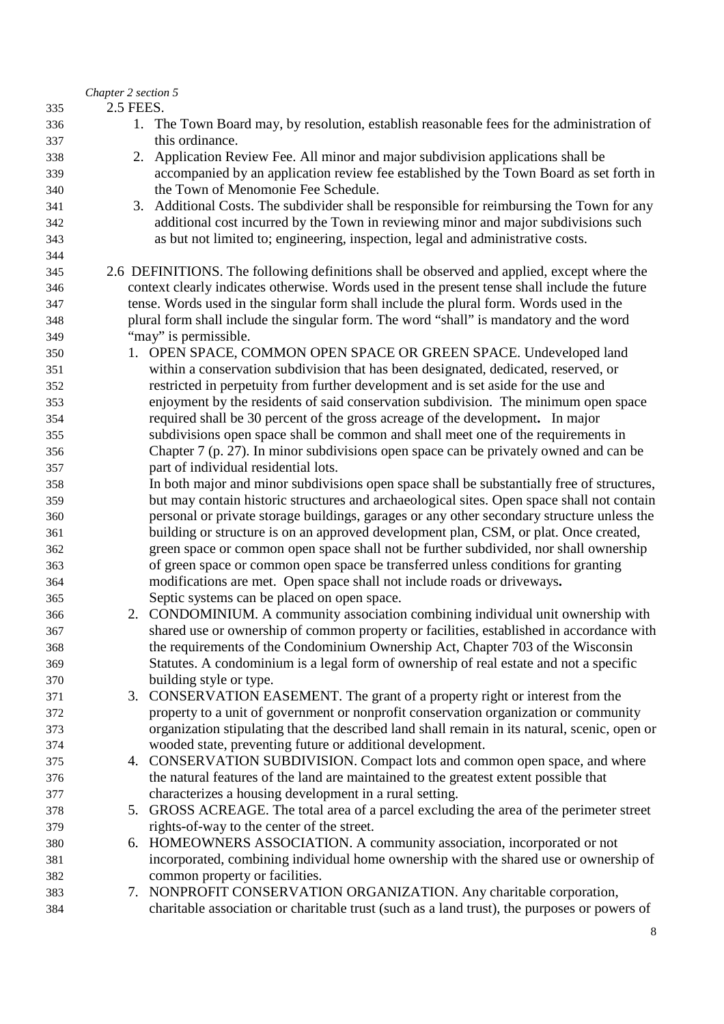|     | Chapter 2 section 5 |                                                                                               |
|-----|---------------------|-----------------------------------------------------------------------------------------------|
| 335 | 2.5 FEES.           |                                                                                               |
| 336 |                     | 1. The Town Board may, by resolution, establish reasonable fees for the administration of     |
| 337 |                     | this ordinance.                                                                               |
| 338 |                     | 2. Application Review Fee. All minor and major subdivision applications shall be              |
| 339 |                     | accompanied by an application review fee established by the Town Board as set forth in        |
| 340 |                     | the Town of Menomonie Fee Schedule.                                                           |
| 341 |                     | 3. Additional Costs. The subdivider shall be responsible for reimbursing the Town for any     |
| 342 |                     | additional cost incurred by the Town in reviewing minor and major subdivisions such           |
| 343 |                     | as but not limited to; engineering, inspection, legal and administrative costs.               |
| 344 |                     |                                                                                               |
| 345 |                     | 2.6 DEFINITIONS. The following definitions shall be observed and applied, except where the    |
| 346 |                     | context clearly indicates otherwise. Words used in the present tense shall include the future |
| 347 |                     | tense. Words used in the singular form shall include the plural form. Words used in the       |
| 348 |                     | plural form shall include the singular form. The word "shall" is mandatory and the word       |
| 349 |                     | "may" is permissible.                                                                         |
| 350 |                     | 1. OPEN SPACE, COMMON OPEN SPACE OR GREEN SPACE. Undeveloped land                             |
| 351 |                     | within a conservation subdivision that has been designated, dedicated, reserved, or           |
| 352 |                     | restricted in perpetuity from further development and is set aside for the use and            |
| 353 |                     | enjoyment by the residents of said conservation subdivision. The minimum open space           |
| 354 |                     | required shall be 30 percent of the gross acreage of the development. In major                |
| 355 |                     | subdivisions open space shall be common and shall meet one of the requirements in             |
| 356 |                     | Chapter 7 (p. 27). In minor subdivisions open space can be privately owned and can be         |
| 357 |                     | part of individual residential lots.                                                          |
| 358 |                     | In both major and minor subdivisions open space shall be substantially free of structures,    |
| 359 |                     | but may contain historic structures and archaeological sites. Open space shall not contain    |
| 360 |                     | personal or private storage buildings, garages or any other secondary structure unless the    |
| 361 |                     | building or structure is on an approved development plan, CSM, or plat. Once created,         |
| 362 |                     | green space or common open space shall not be further subdivided, nor shall ownership         |
| 363 |                     | of green space or common open space be transferred unless conditions for granting             |
| 364 |                     | modifications are met. Open space shall not include roads or driveways.                       |
| 365 |                     | Septic systems can be placed on open space.                                                   |
| 366 |                     | 2. CONDOMINIUM. A community association combining individual unit ownership with              |
| 367 |                     | shared use or ownership of common property or facilities, established in accordance with      |
| 368 |                     | the requirements of the Condominium Ownership Act, Chapter 703 of the Wisconsin               |
| 369 |                     | Statutes. A condominium is a legal form of ownership of real estate and not a specific        |
| 370 |                     | building style or type.                                                                       |
| 371 |                     | 3. CONSERVATION EASEMENT. The grant of a property right or interest from the                  |
| 372 |                     | property to a unit of government or nonprofit conservation organization or community          |
| 373 |                     | organization stipulating that the described land shall remain in its natural, scenic, open or |
| 374 |                     | wooded state, preventing future or additional development.                                    |
| 375 |                     | 4. CONSERVATION SUBDIVISION. Compact lots and common open space, and where                    |
| 376 |                     | the natural features of the land are maintained to the greatest extent possible that          |
| 377 |                     | characterizes a housing development in a rural setting.                                       |
| 378 |                     | 5. GROSS ACREAGE. The total area of a parcel excluding the area of the perimeter street       |
| 379 |                     | rights-of-way to the center of the street.                                                    |
| 380 |                     | 6. HOMEOWNERS ASSOCIATION. A community association, incorporated or not                       |
| 381 |                     | incorporated, combining individual home ownership with the shared use or ownership of         |
| 382 |                     | common property or facilities.                                                                |
| 383 |                     | 7. NONPROFIT CONSERVATION ORGANIZATION. Any charitable corporation,                           |
| 384 |                     | charitable association or charitable trust (such as a land trust), the purposes or powers of  |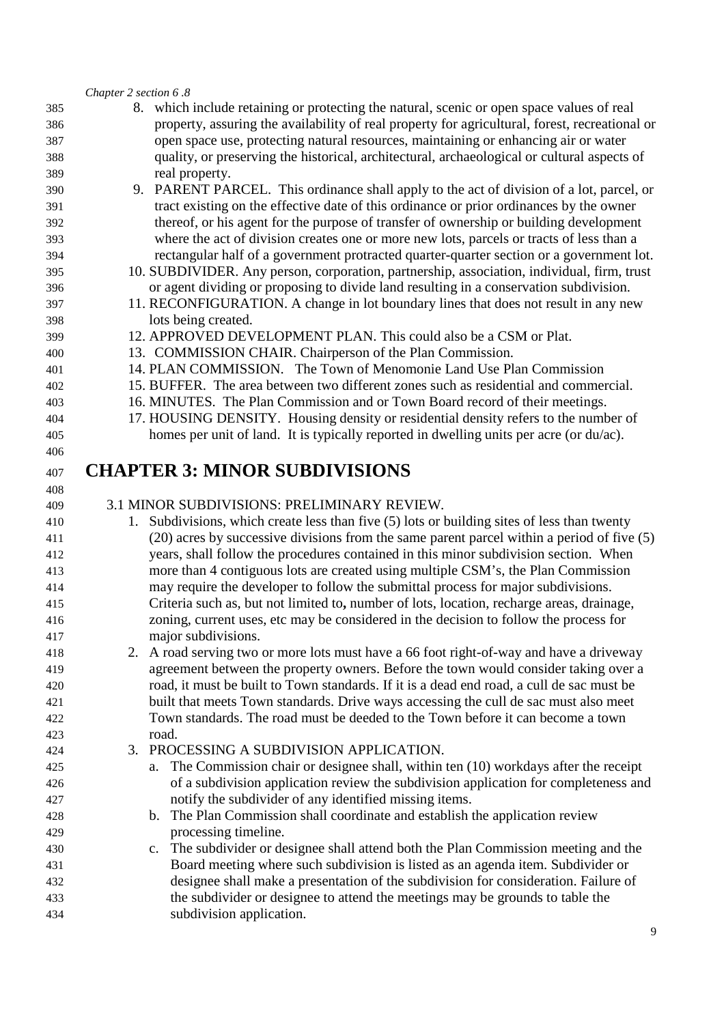#### *Chapter 2 section 6 .8*

- 8. which include retaining or protecting the natural, scenic or open space values of real property, assuring the availability of real property for agricultural, forest, recreational or open space use, protecting natural resources, maintaining or enhancing air or water quality, or preserving the historical, architectural, archaeological or cultural aspects of real property.
- 9. PARENT PARCEL. This ordinance shall apply to the act of division of a lot, parcel, or tract existing on the effective date of this ordinance or prior ordinances by the owner thereof, or his agent for the purpose of transfer of ownership or building development where the act of division creates one or more new lots, parcels or tracts of less than a rectangular half of a government protracted quarter-quarter section or a government lot.
- 10. SUBDIVIDER. Any person, corporation, partnership, association, individual, firm, trust or agent dividing or proposing to divide land resulting in a conservation subdivision.
- 11. RECONFIGURATION. A change in lot boundary lines that does not result in any new lots being created.
- 12. APPROVED DEVELOPMENT PLAN. This could also be a CSM or Plat.
- 13. COMMISSION CHAIR. Chairperson of the Plan Commission.
- 14. PLAN COMMISSION. The Town of Menomonie Land Use Plan Commission
- 15. BUFFER. The area between two different zones such as residential and commercial.
- 16. MINUTES. The Plan Commission and or Town Board record of their meetings.
- 17. HOUSING DENSITY. Housing density or residential density refers to the number of
- homes per unit of land. It is typically reported in dwelling units per acre (or du/ac).

# **CHAPTER 3: MINOR SUBDIVISIONS**

### 3.1 MINOR SUBDIVISIONS: PRELIMINARY REVIEW.

- 1. Subdivisions, which create less than five (5) lots or building sites of less than twenty (20) acres by successive divisions from the same parent parcel within a period of five (5) years, shall follow the procedures contained in this minor subdivision section. When more than 4 contiguous lots are created using multiple CSM's, the Plan Commission may require the developer to follow the submittal process for major subdivisions. Criteria such as, but not limited to**,** number of lots, location, recharge areas, drainage, zoning, current uses, etc may be considered in the decision to follow the process for major subdivisions.
- 2. A road serving two or more lots must have a 66 foot right-of-way and have a driveway agreement between the property owners. Before the town would consider taking over a road, it must be built to Town standards. If it is a dead end road, a cull de sac must be built that meets Town standards. Drive ways accessing the cull de sac must also meet Town standards. The road must be deeded to the Town before it can become a town road.
- 3. PROCESSING A SUBDIVISION APPLICATION. a. The Commission chair or designee shall, within ten (10) workdays after the receipt of a subdivision application review the subdivision application for completeness and notify the subdivider of any identified missing items. b. The Plan Commission shall coordinate and establish the application review processing timeline.
- c. The subdivider or designee shall attend both the Plan Commission meeting and the Board meeting where such subdivision is listed as an agenda item. Subdivider or designee shall make a presentation of the subdivision for consideration. Failure of the subdivider or designee to attend the meetings may be grounds to table the subdivision application.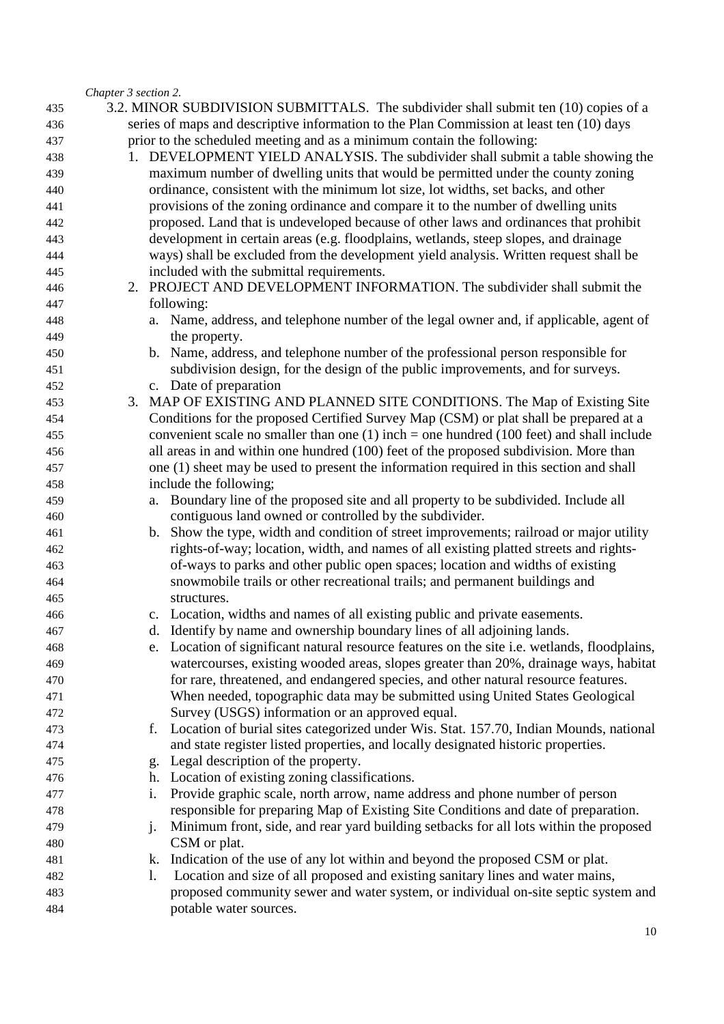#### *Chapter 3 section 2.*

| 435        |    |    | 3.2. MINOR SUBDIVISION SUBMITTALS. The subdivider shall submit ten (10) copies of a                                              |
|------------|----|----|----------------------------------------------------------------------------------------------------------------------------------|
| 436        |    |    | series of maps and descriptive information to the Plan Commission at least ten (10) days                                         |
| 437        |    |    | prior to the scheduled meeting and as a minimum contain the following:                                                           |
| 438        |    |    | 1. DEVELOPMENT YIELD ANALYSIS. The subdivider shall submit a table showing the                                                   |
| 439        |    |    | maximum number of dwelling units that would be permitted under the county zoning                                                 |
| 440        |    |    | ordinance, consistent with the minimum lot size, lot widths, set backs, and other                                                |
| 441        |    |    | provisions of the zoning ordinance and compare it to the number of dwelling units                                                |
| 442        |    |    | proposed. Land that is undeveloped because of other laws and ordinances that prohibit                                            |
| 443        |    |    | development in certain areas (e.g. floodplains, wetlands, steep slopes, and drainage                                             |
| 444        |    |    | ways) shall be excluded from the development yield analysis. Written request shall be                                            |
| 445        |    |    | included with the submittal requirements.                                                                                        |
| 446        |    |    | 2. PROJECT AND DEVELOPMENT INFORMATION. The subdivider shall submit the                                                          |
| 447        |    |    | following:                                                                                                                       |
| 448        |    |    | a. Name, address, and telephone number of the legal owner and, if applicable, agent of                                           |
| 449        |    |    | the property.                                                                                                                    |
| 450        |    |    | b. Name, address, and telephone number of the professional person responsible for                                                |
| 451        |    |    | subdivision design, for the design of the public improvements, and for surveys.                                                  |
| 452        |    |    | c. Date of preparation                                                                                                           |
| 453        | 3. |    | MAP OF EXISTING AND PLANNED SITE CONDITIONS. The Map of Existing Site                                                            |
| 454        |    |    | Conditions for the proposed Certified Survey Map (CSM) or plat shall be prepared at a                                            |
| 455        |    |    | convenient scale no smaller than one $(1)$ inch = one hundred $(100$ feet) and shall include                                     |
| 456        |    |    | all areas in and within one hundred (100) feet of the proposed subdivision. More than                                            |
| 457        |    |    | one (1) sheet may be used to present the information required in this section and shall                                          |
| 458        |    |    | include the following;                                                                                                           |
| 459        |    |    | a. Boundary line of the proposed site and all property to be subdivided. Include all                                             |
| 460        |    |    | contiguous land owned or controlled by the subdivider.                                                                           |
| 461        |    |    | b. Show the type, width and condition of street improvements; railroad or major utility                                          |
| 462        |    |    | rights-of-way; location, width, and names of all existing platted streets and rights-                                            |
| 463        |    |    | of-ways to parks and other public open spaces; location and widths of existing                                                   |
| 464        |    |    | snowmobile trails or other recreational trails; and permanent buildings and                                                      |
| 465        |    |    | structures.                                                                                                                      |
| 466        |    |    | c. Location, widths and names of all existing public and private easements.                                                      |
| 467        |    |    | d. Identify by name and ownership boundary lines of all adjoining lands.                                                         |
| 468        |    |    | e. Location of significant natural resource features on the site i.e. wetlands, floodplains,                                     |
| 469        |    |    | watercourses, existing wooded areas, slopes greater than 20%, drainage ways, habitat                                             |
| 470        |    |    | for rare, threatened, and endangered species, and other natural resource features.                                               |
| 471        |    |    | When needed, topographic data may be submitted using United States Geological<br>Survey (USGS) information or an approved equal. |
| 472        |    |    | Location of burial sites categorized under Wis. Stat. 157.70, Indian Mounds, national                                            |
| 473<br>474 |    | f. | and state register listed properties, and locally designated historic properties.                                                |
|            |    |    | g. Legal description of the property.                                                                                            |
| 475<br>476 |    |    | h. Location of existing zoning classifications.                                                                                  |
| 477        |    | i. | Provide graphic scale, north arrow, name address and phone number of person                                                      |
| 478        |    |    | responsible for preparing Map of Existing Site Conditions and date of preparation.                                               |
| 479        |    | j. | Minimum front, side, and rear yard building setbacks for all lots within the proposed                                            |
| 480        |    |    | CSM or plat.                                                                                                                     |
| 481        |    |    | k. Indication of the use of any lot within and beyond the proposed CSM or plat.                                                  |
| 482        |    | 1. | Location and size of all proposed and existing sanitary lines and water mains,                                                   |
| 483        |    |    | proposed community sewer and water system, or individual on-site septic system and                                               |
| 484        |    |    | potable water sources.                                                                                                           |
|            |    |    |                                                                                                                                  |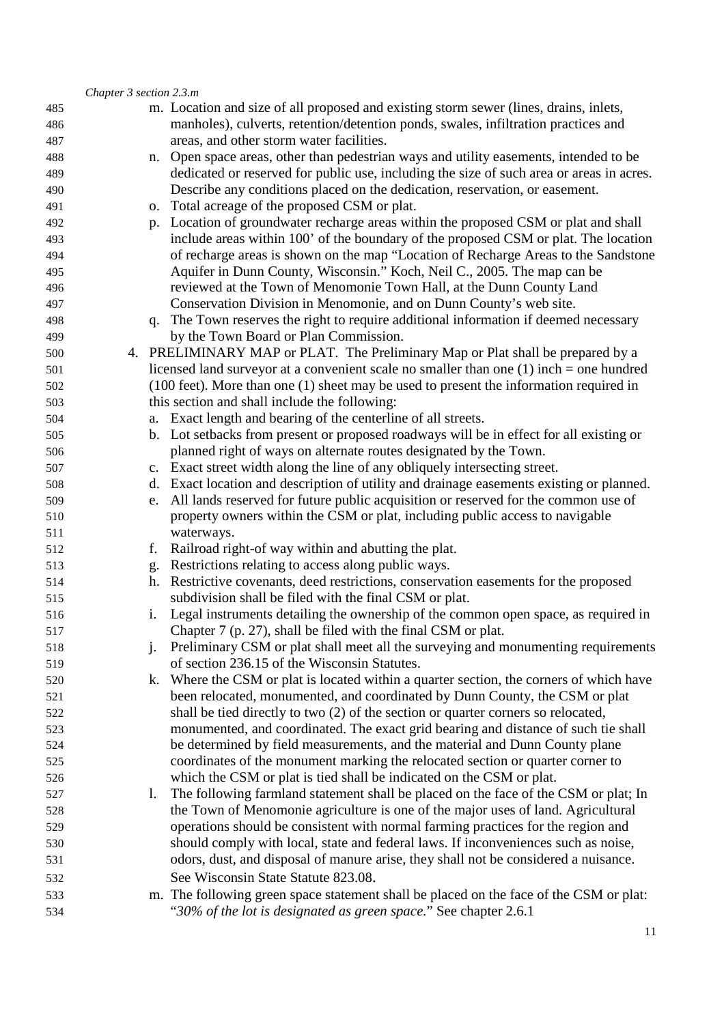|     | Chapter 3 section 2.3.m |    |                                                                                                     |
|-----|-------------------------|----|-----------------------------------------------------------------------------------------------------|
| 485 |                         |    | m. Location and size of all proposed and existing storm sewer (lines, drains, inlets,               |
| 486 |                         |    | manholes), culverts, retention/detention ponds, swales, infiltration practices and                  |
| 487 |                         |    | areas, and other storm water facilities.                                                            |
| 488 |                         |    | n. Open space areas, other than pedestrian ways and utility easements, intended to be               |
| 489 |                         |    | dedicated or reserved for public use, including the size of such area or areas in acres.            |
| 490 |                         |    | Describe any conditions placed on the dedication, reservation, or easement.                         |
| 491 |                         |    | o. Total acreage of the proposed CSM or plat.                                                       |
| 492 |                         |    | p. Location of groundwater recharge areas within the proposed CSM or plat and shall                 |
| 493 |                         |    | include areas within 100' of the boundary of the proposed CSM or plat. The location                 |
| 494 |                         |    | of recharge areas is shown on the map "Location of Recharge Areas to the Sandstone                  |
| 495 |                         |    | Aquifer in Dunn County, Wisconsin." Koch, Neil C., 2005. The map can be                             |
| 496 |                         |    | reviewed at the Town of Menomonie Town Hall, at the Dunn County Land                                |
| 497 |                         |    | Conservation Division in Menomonie, and on Dunn County's web site.                                  |
| 498 |                         |    | q. The Town reserves the right to require additional information if deemed necessary                |
| 499 |                         |    | by the Town Board or Plan Commission.                                                               |
| 500 |                         |    | 4. PRELIMINARY MAP or PLAT. The Preliminary Map or Plat shall be prepared by a                      |
| 501 |                         |    | licensed land surveyor at a convenient scale no smaller than one $(1)$ inch = one hundred           |
| 502 |                         |    | $(100 \text{ feet})$ . More than one $(1)$ sheet may be used to present the information required in |
| 503 |                         |    | this section and shall include the following:                                                       |
| 504 |                         |    | a. Exact length and bearing of the centerline of all streets.                                       |
| 505 |                         |    | b. Lot setbacks from present or proposed roadways will be in effect for all existing or             |
| 506 |                         |    | planned right of ways on alternate routes designated by the Town.                                   |
| 507 |                         |    | c. Exact street width along the line of any obliquely intersecting street.                          |
| 508 |                         |    | d. Exact location and description of utility and drainage easements existing or planned.            |
| 509 |                         | e. | All lands reserved for future public acquisition or reserved for the common use of                  |
| 510 |                         |    | property owners within the CSM or plat, including public access to navigable                        |
| 511 |                         |    | waterways.                                                                                          |
| 512 |                         | f. | Railroad right-of way within and abutting the plat.                                                 |
| 513 |                         |    | g. Restrictions relating to access along public ways.                                               |
| 514 |                         |    | h. Restrictive covenants, deed restrictions, conservation easements for the proposed                |
| 515 |                         |    | subdivision shall be filed with the final CSM or plat.                                              |
| 516 |                         |    | Legal instruments detailing the ownership of the common open space, as required in                  |
| 517 |                         |    | Chapter 7 (p. 27), shall be filed with the final CSM or plat.                                       |
| 518 |                         |    | Preliminary CSM or plat shall meet all the surveying and monumenting requirements                   |
| 519 |                         |    | of section 236.15 of the Wisconsin Statutes.                                                        |
| 520 |                         |    | k. Where the CSM or plat is located within a quarter section, the corners of which have             |
| 521 |                         |    | been relocated, monumented, and coordinated by Dunn County, the CSM or plat                         |
| 522 |                         |    | shall be tied directly to two (2) of the section or quarter corners so relocated,                   |
| 523 |                         |    | monumented, and coordinated. The exact grid bearing and distance of such tie shall                  |
| 524 |                         |    | be determined by field measurements, and the material and Dunn County plane                         |
| 525 |                         |    | coordinates of the monument marking the relocated section or quarter corner to                      |
| 526 |                         |    | which the CSM or plat is tied shall be indicated on the CSM or plat.                                |
| 527 |                         | 1. | The following farmland statement shall be placed on the face of the CSM or plat; In                 |
| 528 |                         |    | the Town of Menomonie agriculture is one of the major uses of land. Agricultural                    |
| 529 |                         |    | operations should be consistent with normal farming practices for the region and                    |
| 530 |                         |    | should comply with local, state and federal laws. If inconveniences such as noise,                  |
| 531 |                         |    | odors, dust, and disposal of manure arise, they shall not be considered a nuisance.                 |
| 532 |                         |    | See Wisconsin State Statute 823.08.                                                                 |
| 533 |                         |    | m. The following green space statement shall be placed on the face of the CSM or plat:              |
| 534 |                         |    | "30% of the lot is designated as green space." See chapter 2.6.1                                    |
|     |                         |    |                                                                                                     |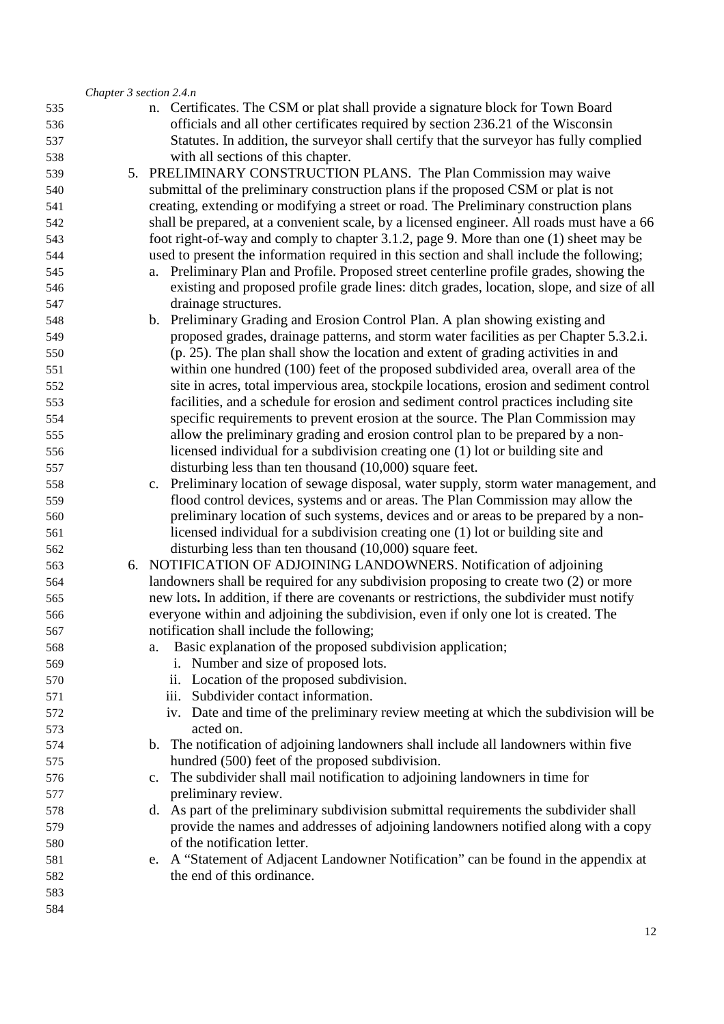|            | Chapter 3 section 2.4.n                                                                                                         |
|------------|---------------------------------------------------------------------------------------------------------------------------------|
| 535        | n. Certificates. The CSM or plat shall provide a signature block for Town Board                                                 |
| 536        | officials and all other certificates required by section 236.21 of the Wisconsin                                                |
| 537        | Statutes. In addition, the surveyor shall certify that the surveyor has fully complied                                          |
| 538        | with all sections of this chapter.                                                                                              |
| 539        | 5. PRELIMINARY CONSTRUCTION PLANS. The Plan Commission may waive                                                                |
| 540        | submittal of the preliminary construction plans if the proposed CSM or plat is not                                              |
| 541        | creating, extending or modifying a street or road. The Preliminary construction plans                                           |
| 542        | shall be prepared, at a convenient scale, by a licensed engineer. All roads must have a 66                                      |
| 543        | foot right-of-way and comply to chapter 3.1.2, page 9. More than one (1) sheet may be                                           |
| 544        | used to present the information required in this section and shall include the following;                                       |
| 545        | a. Preliminary Plan and Profile. Proposed street centerline profile grades, showing the                                         |
| 546        | existing and proposed profile grade lines: ditch grades, location, slope, and size of all                                       |
| 547        | drainage structures.                                                                                                            |
| 548        | b. Preliminary Grading and Erosion Control Plan. A plan showing existing and                                                    |
| 549        | proposed grades, drainage patterns, and storm water facilities as per Chapter 5.3.2.i.                                          |
| 550        | (p. 25). The plan shall show the location and extent of grading activities in and                                               |
| 551        | within one hundred (100) feet of the proposed subdivided area, overall area of the                                              |
| 552        | site in acres, total impervious area, stockpile locations, erosion and sediment control                                         |
| 553        | facilities, and a schedule for erosion and sediment control practices including site                                            |
| 554        | specific requirements to prevent erosion at the source. The Plan Commission may                                                 |
| 555        | allow the preliminary grading and erosion control plan to be prepared by a non-                                                 |
| 556        | licensed individual for a subdivision creating one (1) lot or building site and                                                 |
| 557        | disturbing less than ten thousand $(10,000)$ square feet.                                                                       |
| 558        | c. Preliminary location of sewage disposal, water supply, storm water management, and                                           |
| 559        | flood control devices, systems and or areas. The Plan Commission may allow the                                                  |
| 560        | preliminary location of such systems, devices and or areas to be prepared by a non-                                             |
| 561        | licensed individual for a subdivision creating one (1) lot or building site and                                                 |
| 562        | disturbing less than ten thousand $(10,000)$ square feet.                                                                       |
| 563        | 6. NOTIFICATION OF ADJOINING LANDOWNERS. Notification of adjoining                                                              |
| 564        | landowners shall be required for any subdivision proposing to create two (2) or more                                            |
| 565        | new lots. In addition, if there are covenants or restrictions, the subdivider must notify                                       |
| 566        | everyone within and adjoining the subdivision, even if only one lot is created. The                                             |
| 567        | notification shall include the following;                                                                                       |
| 568        | Basic explanation of the proposed subdivision application;<br>a.                                                                |
| 569        | i. Number and size of proposed lots.                                                                                            |
| 570        | ii. Location of the proposed subdivision.                                                                                       |
| 571        | Subdivider contact information.<br>iii.<br>iv. Date and time of the preliminary review meeting at which the subdivision will be |
| 572<br>573 | acted on.                                                                                                                       |
| 574        | b. The notification of adjoining landowners shall include all landowners within five                                            |
| 575        | hundred (500) feet of the proposed subdivision.                                                                                 |
| 576        | c. The subdivider shall mail notification to adjoining landowners in time for                                                   |
|            | preliminary review.                                                                                                             |
| 577<br>578 | d. As part of the preliminary subdivision submittal requirements the subdivider shall                                           |
| 579        | provide the names and addresses of adjoining landowners notified along with a copy                                              |
| 580        | of the notification letter.                                                                                                     |
| 581        | e. A "Statement of Adjacent Landowner Notification" can be found in the appendix at                                             |
| 582        | the end of this ordinance.                                                                                                      |
| 583        |                                                                                                                                 |
| 584        |                                                                                                                                 |
|            |                                                                                                                                 |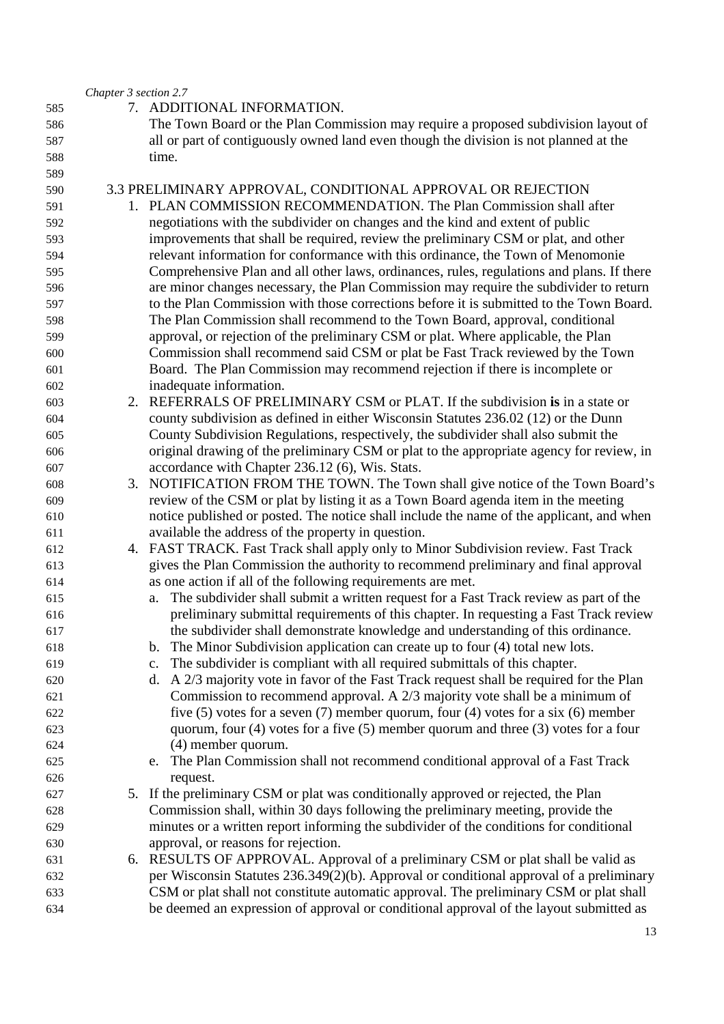|     | Chapter 3 section 2.7 |                                                                                            |
|-----|-----------------------|--------------------------------------------------------------------------------------------|
| 585 |                       | 7. ADDITIONAL INFORMATION.                                                                 |
| 586 |                       | The Town Board or the Plan Commission may require a proposed subdivision layout of         |
| 587 |                       | all or part of contiguously owned land even though the division is not planned at the      |
| 588 |                       | time.                                                                                      |
| 589 |                       |                                                                                            |
| 590 |                       | 3.3 PRELIMINARY APPROVAL, CONDITIONAL APPROVAL OR REJECTION                                |
| 591 |                       | 1. PLAN COMMISSION RECOMMENDATION. The Plan Commission shall after                         |
| 592 |                       | negotiations with the subdivider on changes and the kind and extent of public              |
| 593 |                       | improvements that shall be required, review the preliminary CSM or plat, and other         |
| 594 |                       | relevant information for conformance with this ordinance, the Town of Menomonie            |
| 595 |                       | Comprehensive Plan and all other laws, ordinances, rules, regulations and plans. If there  |
| 596 |                       | are minor changes necessary, the Plan Commission may require the subdivider to return      |
| 597 |                       | to the Plan Commission with those corrections before it is submitted to the Town Board.    |
| 598 |                       | The Plan Commission shall recommend to the Town Board, approval, conditional               |
| 599 |                       | approval, or rejection of the preliminary CSM or plat. Where applicable, the Plan          |
| 600 |                       | Commission shall recommend said CSM or plat be Fast Track reviewed by the Town             |
| 601 |                       | Board. The Plan Commission may recommend rejection if there is incomplete or               |
| 602 |                       | inadequate information.                                                                    |
| 603 |                       | 2. REFERRALS OF PRELIMINARY CSM or PLAT. If the subdivision is in a state or               |
| 604 |                       | county subdivision as defined in either Wisconsin Statutes 236.02 (12) or the Dunn         |
| 605 |                       | County Subdivision Regulations, respectively, the subdivider shall also submit the         |
| 606 |                       | original drawing of the preliminary CSM or plat to the appropriate agency for review, in   |
| 607 |                       | accordance with Chapter 236.12 (6), Wis. Stats.                                            |
| 608 |                       | 3. NOTIFICATION FROM THE TOWN. The Town shall give notice of the Town Board's              |
| 609 |                       | review of the CSM or plat by listing it as a Town Board agenda item in the meeting         |
| 610 |                       | notice published or posted. The notice shall include the name of the applicant, and when   |
| 611 |                       | available the address of the property in question.                                         |
| 612 |                       | 4. FAST TRACK. Fast Track shall apply only to Minor Subdivision review. Fast Track         |
| 613 |                       | gives the Plan Commission the authority to recommend preliminary and final approval        |
| 614 |                       | as one action if all of the following requirements are met.                                |
| 615 |                       | The subdivider shall submit a written request for a Fast Track review as part of the<br>a. |
| 616 |                       | preliminary submittal requirements of this chapter. In requesting a Fast Track review      |
| 617 |                       | the subdivider shall demonstrate knowledge and understanding of this ordinance.            |
| 618 |                       | b. The Minor Subdivision application can create up to four (4) total new lots.             |
| 619 |                       | The subdivider is compliant with all required submittals of this chapter.<br>c.            |
| 620 |                       | d. A 2/3 majority vote in favor of the Fast Track request shall be required for the Plan   |
| 621 |                       | Commission to recommend approval. A $2/3$ majority vote shall be a minimum of              |
| 622 |                       | five (5) votes for a seven (7) member quorum, four (4) votes for a six (6) member          |
| 623 |                       | quorum, four $(4)$ votes for a five $(5)$ member quorum and three $(3)$ votes for a four   |
| 624 |                       | (4) member quorum.                                                                         |
| 625 |                       | The Plan Commission shall not recommend conditional approval of a Fast Track<br>e.         |
| 626 |                       | request.                                                                                   |
| 627 |                       | 5. If the preliminary CSM or plat was conditionally approved or rejected, the Plan         |
| 628 |                       | Commission shall, within 30 days following the preliminary meeting, provide the            |
| 629 |                       | minutes or a written report informing the subdivider of the conditions for conditional     |
| 630 |                       | approval, or reasons for rejection.                                                        |
| 631 |                       | 6. RESULTS OF APPROVAL. Approval of a preliminary CSM or plat shall be valid as            |
| 632 |                       | per Wisconsin Statutes 236.349(2)(b). Approval or conditional approval of a preliminary    |
| 633 |                       | CSM or plat shall not constitute automatic approval. The preliminary CSM or plat shall     |
| 634 |                       | be deemed an expression of approval or conditional approval of the layout submitted as     |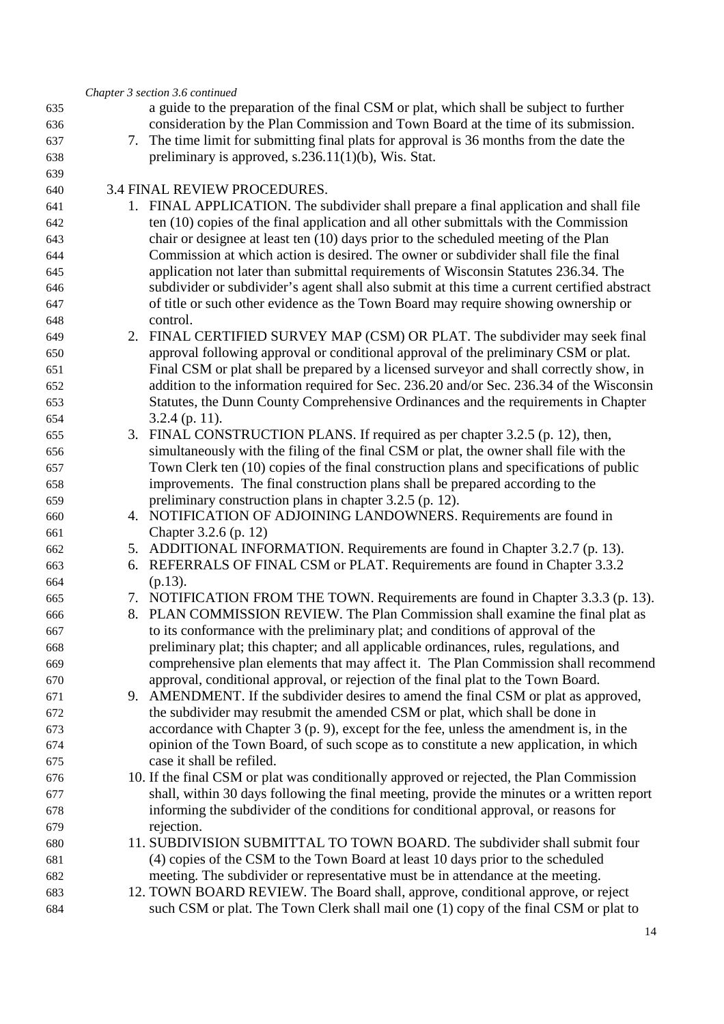|     |    | Chapter 3 section 3.6 continued                                                              |
|-----|----|----------------------------------------------------------------------------------------------|
| 635 |    | a guide to the preparation of the final CSM or plat, which shall be subject to further       |
| 636 |    | consideration by the Plan Commission and Town Board at the time of its submission.           |
| 637 |    | 7. The time limit for submitting final plats for approval is 36 months from the date the     |
| 638 |    | preliminary is approved, $s.236.11(1)(b)$ , Wis. Stat.                                       |
| 639 |    |                                                                                              |
| 640 |    | 3.4 FINAL REVIEW PROCEDURES.                                                                 |
|     |    | 1. FINAL APPLICATION. The subdivider shall prepare a final application and shall file        |
| 641 |    |                                                                                              |
| 642 |    | ten (10) copies of the final application and all other submittals with the Commission        |
| 643 |    | chair or designee at least ten (10) days prior to the scheduled meeting of the Plan          |
| 644 |    | Commission at which action is desired. The owner or subdivider shall file the final          |
| 645 |    | application not later than submittal requirements of Wisconsin Statutes 236.34. The          |
| 646 |    | subdivider or subdivider's agent shall also submit at this time a current certified abstract |
| 647 |    | of title or such other evidence as the Town Board may require showing ownership or           |
| 648 |    | control.                                                                                     |
| 649 |    | 2. FINAL CERTIFIED SURVEY MAP (CSM) OR PLAT. The subdivider may seek final                   |
| 650 |    | approval following approval or conditional approval of the preliminary CSM or plat.          |
| 651 |    | Final CSM or plat shall be prepared by a licensed surveyor and shall correctly show, in      |
| 652 |    | addition to the information required for Sec. 236.20 and/or Sec. 236.34 of the Wisconsin     |
| 653 |    | Statutes, the Dunn County Comprehensive Ordinances and the requirements in Chapter           |
|     |    |                                                                                              |
| 654 |    | $3.2.4$ (p. 11).                                                                             |
| 655 |    | 3. FINAL CONSTRUCTION PLANS. If required as per chapter 3.2.5 (p. 12), then,                 |
| 656 |    | simultaneously with the filing of the final CSM or plat, the owner shall file with the       |
| 657 |    | Town Clerk ten (10) copies of the final construction plans and specifications of public      |
| 658 |    | improvements. The final construction plans shall be prepared according to the                |
| 659 |    | preliminary construction plans in chapter 3.2.5 (p. 12).                                     |
| 660 |    | 4. NOTIFICATION OF ADJOINING LANDOWNERS. Requirements are found in                           |
| 661 |    | Chapter 3.2.6 (p. 12)                                                                        |
| 662 |    | 5. ADDITIONAL INFORMATION. Requirements are found in Chapter 3.2.7 (p. 13).                  |
| 663 | 6. | REFERRALS OF FINAL CSM or PLAT. Requirements are found in Chapter 3.3.2                      |
| 664 |    | $(p.13)$ .                                                                                   |
| 665 |    | 7. NOTIFICATION FROM THE TOWN. Requirements are found in Chapter 3.3.3 (p. 13).              |
| 666 |    | 8. PLAN COMMISSION REVIEW. The Plan Commission shall examine the final plat as               |
| 667 |    | to its conformance with the preliminary plat; and conditions of approval of the              |
|     |    | preliminary plat; this chapter; and all applicable ordinances, rules, regulations, and       |
| 668 |    |                                                                                              |
| 669 |    | comprehensive plan elements that may affect it. The Plan Commission shall recommend          |
| 670 |    | approval, conditional approval, or rejection of the final plat to the Town Board.            |
| 671 |    | 9. AMENDMENT. If the subdivider desires to amend the final CSM or plat as approved,          |
| 672 |    | the subdivider may resubmit the amended CSM or plat, which shall be done in                  |
| 673 |    | accordance with Chapter 3 $(p, 9)$ , except for the fee, unless the amendment is, in the     |
| 674 |    | opinion of the Town Board, of such scope as to constitute a new application, in which        |
| 675 |    | case it shall be refiled.                                                                    |
| 676 |    | 10. If the final CSM or plat was conditionally approved or rejected, the Plan Commission     |
| 677 |    | shall, within 30 days following the final meeting, provide the minutes or a written report   |
| 678 |    | informing the subdivider of the conditions for conditional approval, or reasons for          |
| 679 |    | rejection.                                                                                   |
| 680 |    | 11. SUBDIVISION SUBMITTAL TO TOWN BOARD. The subdivider shall submit four                    |
| 681 |    | (4) copies of the CSM to the Town Board at least 10 days prior to the scheduled              |
| 682 |    | meeting. The subdivider or representative must be in attendance at the meeting.              |
|     |    |                                                                                              |
| 683 |    | 12. TOWN BOARD REVIEW. The Board shall, approve, conditional approve, or reject              |
| 684 |    | such CSM or plat. The Town Clerk shall mail one (1) copy of the final CSM or plat to         |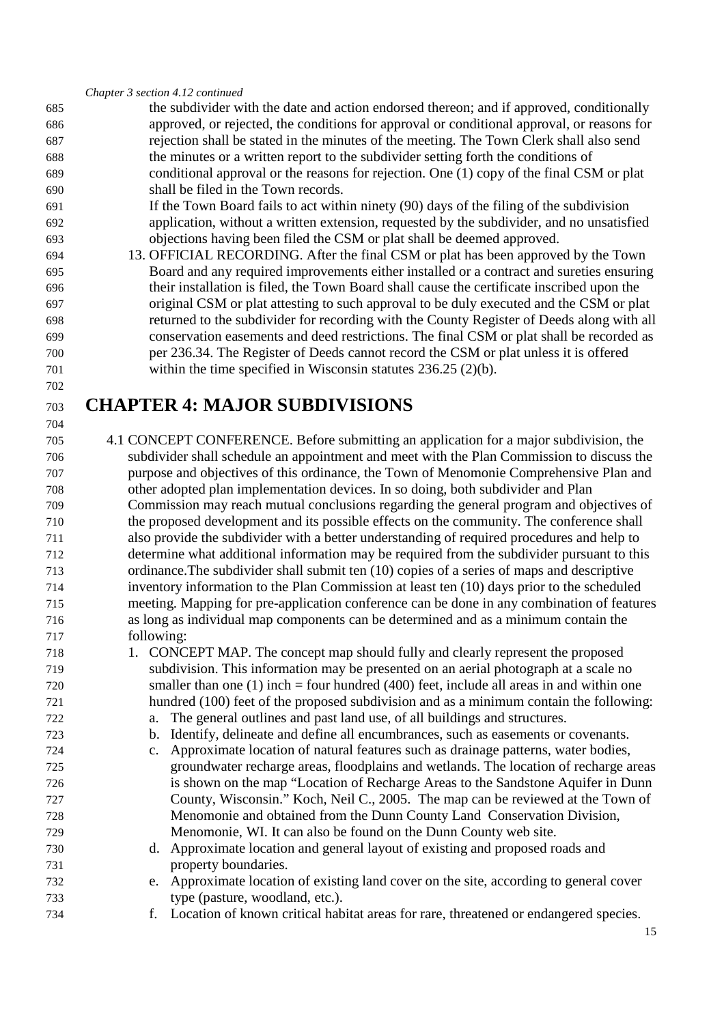*Chapter 3 section 4.12 continued* 

- the subdivider with the date and action endorsed thereon; and if approved, conditionally approved, or rejected, the conditions for approval or conditional approval, or reasons for rejection shall be stated in the minutes of the meeting. The Town Clerk shall also send the minutes or a written report to the subdivider setting forth the conditions of conditional approval or the reasons for rejection. One (1) copy of the final CSM or plat shall be filed in the Town records.
- If the Town Board fails to act within ninety (90) days of the filing of the subdivision application, without a written extension, requested by the subdivider, and no unsatisfied objections having been filed the CSM or plat shall be deemed approved.
- 13. OFFICIAL RECORDING. After the final CSM or plat has been approved by the Town Board and any required improvements either installed or a contract and sureties ensuring their installation is filed, the Town Board shall cause the certificate inscribed upon the original CSM or plat attesting to such approval to be duly executed and the CSM or plat returned to the subdivider for recording with the County Register of Deeds along with all conservation easements and deed restrictions. The final CSM or plat shall be recorded as per 236.34. The Register of Deeds cannot record the CSM or plat unless it is offered within the time specified in Wisconsin statutes 236.25 (2)(b).

# **CHAPTER 4: MAJOR SUBDIVISIONS**

 4.1 CONCEPT CONFERENCE. Before submitting an application for a major subdivision, the subdivider shall schedule an appointment and meet with the Plan Commission to discuss the purpose and objectives of this ordinance, the Town of Menomonie Comprehensive Plan and other adopted plan implementation devices. In so doing, both subdivider and Plan Commission may reach mutual conclusions regarding the general program and objectives of the proposed development and its possible effects on the community. The conference shall also provide the subdivider with a better understanding of required procedures and help to determine what additional information may be required from the subdivider pursuant to this ordinance.The subdivider shall submit ten (10) copies of a series of maps and descriptive inventory information to the Plan Commission at least ten (10) days prior to the scheduled meeting. Mapping for pre-application conference can be done in any combination of features as long as individual map components can be determined and as a minimum contain the following:

- 1. CONCEPT MAP. The concept map should fully and clearly represent the proposed subdivision. This information may be presented on an aerial photograph at a scale no smaller than one (1) inch = four hundred (400) feet, include all areas in and within one hundred (100) feet of the proposed subdivision and as a minimum contain the following:
- a. The general outlines and past land use, of all buildings and structures.
- b. Identify, delineate and define all encumbrances, such as easements or covenants.
- c. Approximate location of natural features such as drainage patterns, water bodies, groundwater recharge areas, floodplains and wetlands. The location of recharge areas is shown on the map "Location of Recharge Areas to the Sandstone Aquifer in Dunn County, Wisconsin." Koch, Neil C., 2005. The map can be reviewed at the Town of Menomonie and obtained from the Dunn County Land Conservation Division, Menomonie, WI. It can also be found on the Dunn County web site.
- d. Approximate location and general layout of existing and proposed roads and property boundaries.
- e. Approximate location of existing land cover on the site, according to general cover type (pasture, woodland, etc.).
- f. Location of known critical habitat areas for rare, threatened or endangered species.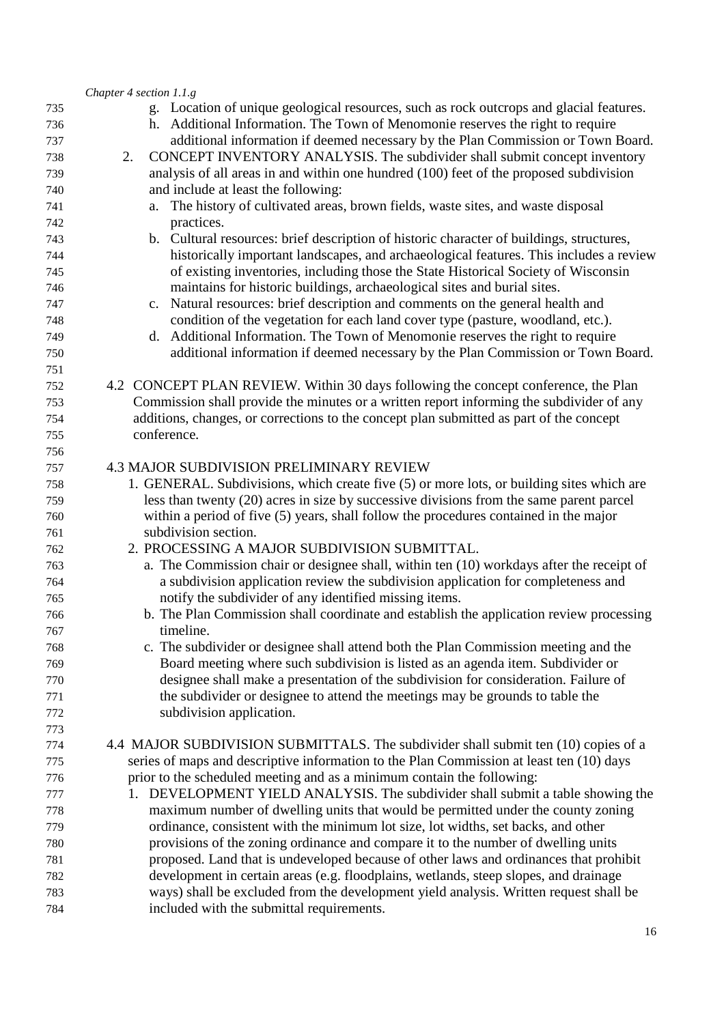|            | Chapter 4 section 1.1.g                                                                                                                                                   |
|------------|---------------------------------------------------------------------------------------------------------------------------------------------------------------------------|
| 735<br>736 | g. Location of unique geological resources, such as rock outcrops and glacial features.<br>h. Additional Information. The Town of Menomonie reserves the right to require |
| 737        | additional information if deemed necessary by the Plan Commission or Town Board.                                                                                          |
| 738        | CONCEPT INVENTORY ANALYSIS. The subdivider shall submit concept inventory<br>2.                                                                                           |
| 739        | analysis of all areas in and within one hundred (100) feet of the proposed subdivision                                                                                    |
| 740        | and include at least the following:                                                                                                                                       |
| 741        | The history of cultivated areas, brown fields, waste sites, and waste disposal<br>a.                                                                                      |
| 742        | practices.                                                                                                                                                                |
| 743        | b. Cultural resources: brief description of historic character of buildings, structures,                                                                                  |
| 744        | historically important landscapes, and archaeological features. This includes a review                                                                                    |
| 745        | of existing inventories, including those the State Historical Society of Wisconsin                                                                                        |
| 746        | maintains for historic buildings, archaeological sites and burial sites.                                                                                                  |
| 747        | c. Natural resources: brief description and comments on the general health and                                                                                            |
| 748        | condition of the vegetation for each land cover type (pasture, woodland, etc.).                                                                                           |
| 749        | d. Additional Information. The Town of Menomonie reserves the right to require                                                                                            |
| 750        | additional information if deemed necessary by the Plan Commission or Town Board.                                                                                          |
| 751        |                                                                                                                                                                           |
| 752        | 4.2 CONCEPT PLAN REVIEW. Within 30 days following the concept conference, the Plan                                                                                        |
| 753        | Commission shall provide the minutes or a written report informing the subdivider of any                                                                                  |
| 754        | additions, changes, or corrections to the concept plan submitted as part of the concept                                                                                   |
| 755        | conference.                                                                                                                                                               |
| 756        |                                                                                                                                                                           |
| 757        | <b>4.3 MAJOR SUBDIVISION PRELIMINARY REVIEW</b>                                                                                                                           |
| 758        | 1. GENERAL. Subdivisions, which create five (5) or more lots, or building sites which are                                                                                 |
| 759        | less than twenty (20) acres in size by successive divisions from the same parent parcel                                                                                   |
| 760        | within a period of five (5) years, shall follow the procedures contained in the major                                                                                     |
| 761        | subdivision section.                                                                                                                                                      |
| 762        | 2. PROCESSING A MAJOR SUBDIVISION SUBMITTAL.                                                                                                                              |
| 763        | a. The Commission chair or designee shall, within ten (10) workdays after the receipt of                                                                                  |
| 764        | a subdivision application review the subdivision application for completeness and                                                                                         |
| 765        | notify the subdivider of any identified missing items.                                                                                                                    |
| 766        | b. The Plan Commission shall coordinate and establish the application review processing                                                                                   |
| 767        | timeline.                                                                                                                                                                 |
| 768        | c. The subdivider or designee shall attend both the Plan Commission meeting and the                                                                                       |
| 769        | Board meeting where such subdivision is listed as an agenda item. Subdivider or                                                                                           |
| 770<br>771 | designee shall make a presentation of the subdivision for consideration. Failure of<br>the subdivider or designee to attend the meetings may be grounds to table the      |
| 772        | subdivision application.                                                                                                                                                  |
| 773        |                                                                                                                                                                           |
|            | 4.4 MAJOR SUBDIVISION SUBMITTALS. The subdivider shall submit ten (10) copies of a                                                                                        |
| 774        | series of maps and descriptive information to the Plan Commission at least ten (10) days                                                                                  |
| 775<br>776 | prior to the scheduled meeting and as a minimum contain the following:                                                                                                    |
| 777        | 1. DEVELOPMENT YIELD ANALYSIS. The subdivider shall submit a table showing the                                                                                            |
| 778        | maximum number of dwelling units that would be permitted under the county zoning                                                                                          |
| 779        | ordinance, consistent with the minimum lot size, lot widths, set backs, and other                                                                                         |
| 780        | provisions of the zoning ordinance and compare it to the number of dwelling units                                                                                         |
| 781        | proposed. Land that is undeveloped because of other laws and ordinances that prohibit                                                                                     |
| 782        | development in certain areas (e.g. floodplains, wetlands, steep slopes, and drainage                                                                                      |
| 783        | ways) shall be excluded from the development yield analysis. Written request shall be                                                                                     |
| 784        | included with the submittal requirements.                                                                                                                                 |
|            |                                                                                                                                                                           |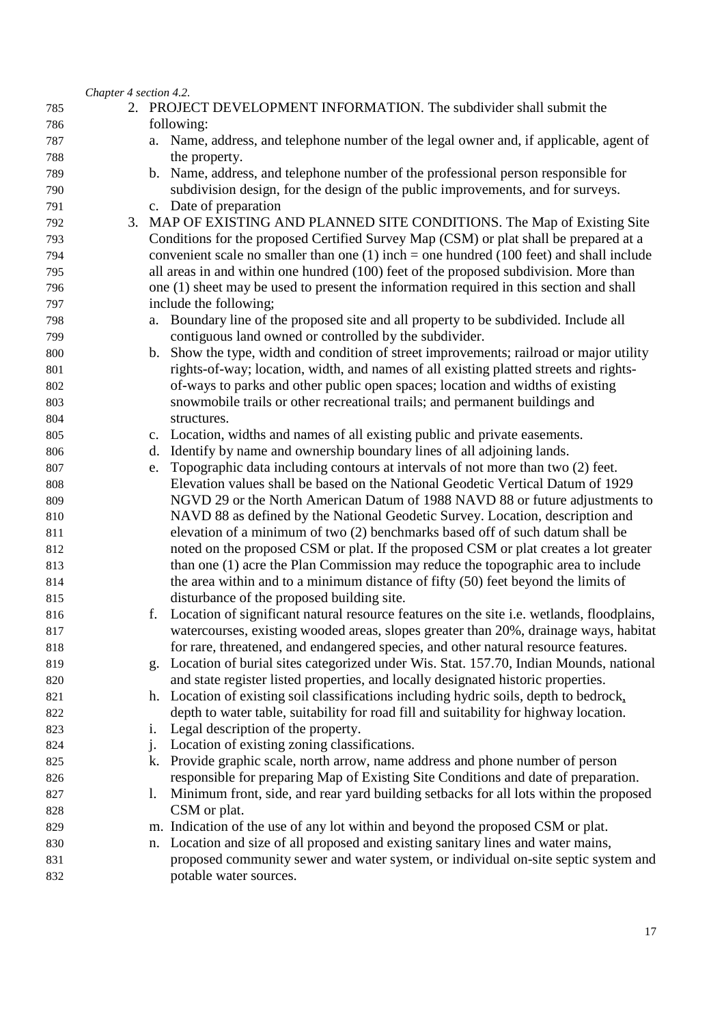|     |  | Chapter 4 section 4.2.                                                                          |
|-----|--|-------------------------------------------------------------------------------------------------|
| 785 |  | 2. PROJECT DEVELOPMENT INFORMATION. The subdivider shall submit the                             |
| 786 |  | following:                                                                                      |
| 787 |  | a. Name, address, and telephone number of the legal owner and, if applicable, agent of          |
| 788 |  | the property.                                                                                   |
| 789 |  | b. Name, address, and telephone number of the professional person responsible for               |
| 790 |  | subdivision design, for the design of the public improvements, and for surveys.                 |
| 791 |  | c. Date of preparation                                                                          |
| 792 |  | 3. MAP OF EXISTING AND PLANNED SITE CONDITIONS. The Map of Existing Site                        |
| 793 |  | Conditions for the proposed Certified Survey Map (CSM) or plat shall be prepared at a           |
| 794 |  | convenient scale no smaller than one $(1)$ inch = one hundred $(100$ feet) and shall include    |
| 795 |  | all areas in and within one hundred (100) feet of the proposed subdivision. More than           |
| 796 |  | one (1) sheet may be used to present the information required in this section and shall         |
| 797 |  | include the following;                                                                          |
| 798 |  | Boundary line of the proposed site and all property to be subdivided. Include all<br>a.         |
| 799 |  | contiguous land owned or controlled by the subdivider.                                          |
| 800 |  | b. Show the type, width and condition of street improvements; railroad or major utility         |
| 801 |  | rights-of-way; location, width, and names of all existing platted streets and rights-           |
| 802 |  | of-ways to parks and other public open spaces; location and widths of existing                  |
| 803 |  | snowmobile trails or other recreational trails; and permanent buildings and                     |
| 804 |  | structures.                                                                                     |
| 805 |  | c. Location, widths and names of all existing public and private easements.                     |
| 806 |  | Identify by name and ownership boundary lines of all adjoining lands.<br>d.                     |
| 807 |  | Topographic data including contours at intervals of not more than two (2) feet.<br>e.           |
| 808 |  | Elevation values shall be based on the National Geodetic Vertical Datum of 1929                 |
| 809 |  | NGVD 29 or the North American Datum of 1988 NAVD 88 or future adjustments to                    |
| 810 |  | NAVD 88 as defined by the National Geodetic Survey. Location, description and                   |
| 811 |  | elevation of a minimum of two (2) benchmarks based off of such datum shall be                   |
| 812 |  | noted on the proposed CSM or plat. If the proposed CSM or plat creates a lot greater            |
| 813 |  | than one (1) acre the Plan Commission may reduce the topographic area to include                |
| 814 |  | the area within and to a minimum distance of fifty (50) feet beyond the limits of               |
| 815 |  | disturbance of the proposed building site.                                                      |
| 816 |  | Location of significant natural resource features on the site i.e. wetlands, floodplains,<br>f. |
| 817 |  | watercourses, existing wooded areas, slopes greater than 20%, drainage ways, habitat            |
| 818 |  | for rare, threatened, and endangered species, and other natural resource features.              |
| 819 |  | g. Location of burial sites categorized under Wis. Stat. 157.70, Indian Mounds, national        |
| 820 |  | and state register listed properties, and locally designated historic properties.               |
| 821 |  | h. Location of existing soil classifications including hydric soils, depth to bedrock,          |
| 822 |  | depth to water table, suitability for road fill and suitability for highway location.           |
| 823 |  | Legal description of the property.<br>i.                                                        |
| 824 |  | Location of existing zoning classifications.<br>$\mathbf{1}$ .                                  |
| 825 |  | Provide graphic scale, north arrow, name address and phone number of person<br>k.               |
| 826 |  | responsible for preparing Map of Existing Site Conditions and date of preparation.              |
| 827 |  | Minimum front, side, and rear yard building setbacks for all lots within the proposed<br>1.     |
| 828 |  | CSM or plat.                                                                                    |
| 829 |  | m. Indication of the use of any lot within and beyond the proposed CSM or plat.                 |
| 830 |  | Location and size of all proposed and existing sanitary lines and water mains,<br>n.            |
| 831 |  | proposed community sewer and water system, or individual on-site septic system and              |
| 832 |  | potable water sources.                                                                          |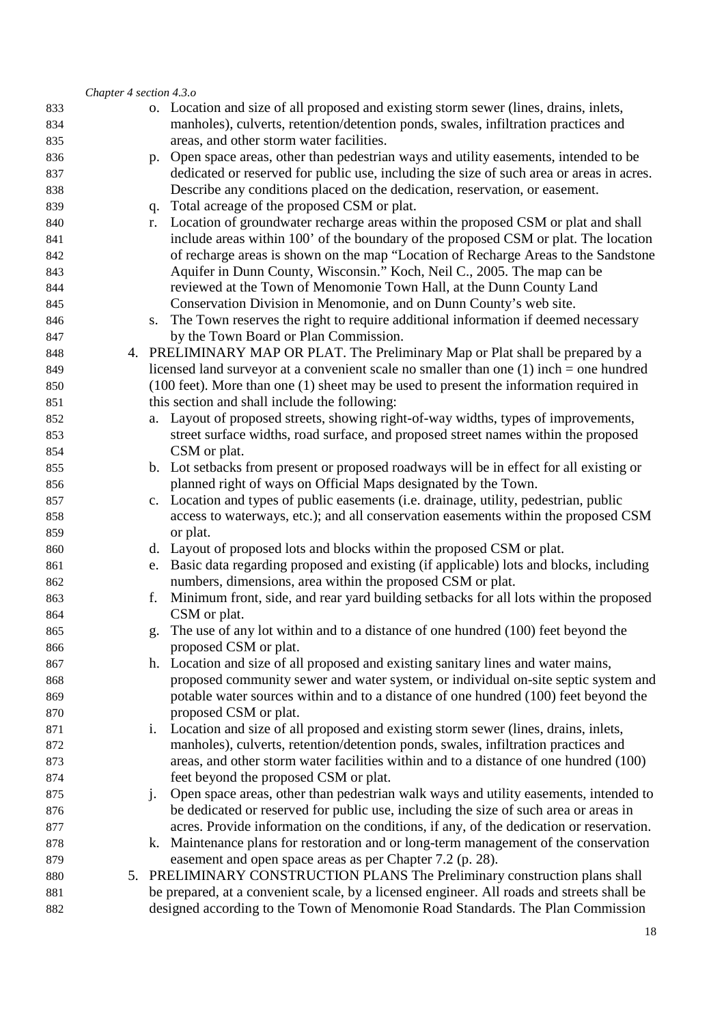|     | Chapter 4 section 4.3.0 |       |                                                                                                                                                                          |
|-----|-------------------------|-------|--------------------------------------------------------------------------------------------------------------------------------------------------------------------------|
| 833 |                         |       | o. Location and size of all proposed and existing storm sewer (lines, drains, inlets,                                                                                    |
| 834 |                         |       | manholes), culverts, retention/detention ponds, swales, infiltration practices and                                                                                       |
| 835 |                         |       | areas, and other storm water facilities.                                                                                                                                 |
| 836 |                         |       | p. Open space areas, other than pedestrian ways and utility easements, intended to be                                                                                    |
| 837 |                         |       | dedicated or reserved for public use, including the size of such area or areas in acres.                                                                                 |
| 838 |                         |       | Describe any conditions placed on the dedication, reservation, or easement.                                                                                              |
| 839 |                         | q.    | Total acreage of the proposed CSM or plat.                                                                                                                               |
| 840 |                         | r.    | Location of groundwater recharge areas within the proposed CSM or plat and shall                                                                                         |
| 841 |                         |       | include areas within 100' of the boundary of the proposed CSM or plat. The location                                                                                      |
| 842 |                         |       | of recharge areas is shown on the map "Location of Recharge Areas to the Sandstone                                                                                       |
| 843 |                         |       | Aquifer in Dunn County, Wisconsin." Koch, Neil C., 2005. The map can be                                                                                                  |
| 844 |                         |       | reviewed at the Town of Menomonie Town Hall, at the Dunn County Land                                                                                                     |
| 845 |                         |       | Conservation Division in Menomonie, and on Dunn County's web site.                                                                                                       |
| 846 |                         | S.    | The Town reserves the right to require additional information if deemed necessary                                                                                        |
| 847 |                         |       | by the Town Board or Plan Commission.                                                                                                                                    |
| 848 |                         |       | 4. PRELIMINARY MAP OR PLAT. The Preliminary Map or Plat shall be prepared by a                                                                                           |
| 849 |                         |       | licensed land surveyor at a convenient scale no smaller than one $(1)$ inch = one hundred                                                                                |
| 850 |                         |       | $(100 \text{ feet})$ . More than one $(1)$ sheet may be used to present the information required in                                                                      |
| 851 |                         |       | this section and shall include the following:                                                                                                                            |
| 852 |                         |       | a. Layout of proposed streets, showing right-of-way widths, types of improvements,                                                                                       |
| 853 |                         |       | street surface widths, road surface, and proposed street names within the proposed                                                                                       |
| 854 |                         |       | CSM or plat.                                                                                                                                                             |
| 855 |                         |       | b. Lot setbacks from present or proposed roadways will be in effect for all existing or                                                                                  |
| 856 |                         |       | planned right of ways on Official Maps designated by the Town.                                                                                                           |
| 857 |                         |       | c. Location and types of public easements (i.e. drainage, utility, pedestrian, public                                                                                    |
| 858 |                         |       | access to waterways, etc.); and all conservation easements within the proposed CSM                                                                                       |
| 859 |                         |       | or plat.                                                                                                                                                                 |
| 860 |                         |       | d. Layout of proposed lots and blocks within the proposed CSM or plat.                                                                                                   |
| 861 |                         |       | e. Basic data regarding proposed and existing (if applicable) lots and blocks, including                                                                                 |
| 862 |                         |       | numbers, dimensions, area within the proposed CSM or plat.                                                                                                               |
| 863 |                         | f.    | Minimum front, side, and rear yard building setbacks for all lots within the proposed                                                                                    |
| 864 |                         |       | CSM or plat.                                                                                                                                                             |
| 865 |                         | g.    | The use of any lot within and to a distance of one hundred (100) feet beyond the                                                                                         |
| 866 |                         |       | proposed CSM or plat.                                                                                                                                                    |
| 867 |                         |       | h. Location and size of all proposed and existing sanitary lines and water mains,                                                                                        |
| 868 |                         |       | proposed community sewer and water system, or individual on-site septic system and                                                                                       |
| 869 |                         |       | potable water sources within and to a distance of one hundred (100) feet beyond the                                                                                      |
| 870 |                         |       | proposed CSM or plat.                                                                                                                                                    |
| 871 |                         | i.    | Location and size of all proposed and existing storm sewer (lines, drains, inlets,                                                                                       |
| 872 |                         |       | manholes), culverts, retention/detention ponds, swales, infiltration practices and                                                                                       |
| 873 |                         |       | areas, and other storm water facilities within and to a distance of one hundred (100)                                                                                    |
| 874 |                         |       | feet beyond the proposed CSM or plat.                                                                                                                                    |
| 875 |                         | $j$ . | Open space areas, other than pedestrian walk ways and utility easements, intended to                                                                                     |
| 876 |                         |       | be dedicated or reserved for public use, including the size of such area or areas in                                                                                     |
| 877 |                         |       | acres. Provide information on the conditions, if any, of the dedication or reservation.                                                                                  |
| 878 |                         |       | k. Maintenance plans for restoration and or long-term management of the conservation                                                                                     |
| 879 |                         |       | easement and open space areas as per Chapter 7.2 (p. 28).                                                                                                                |
| 880 |                         |       | 5. PRELIMINARY CONSTRUCTION PLANS The Preliminary construction plans shall<br>be prepared, at a convenient scale, by a licensed engineer. All roads and streets shall be |
| 881 |                         |       |                                                                                                                                                                          |
| 882 |                         |       | designed according to the Town of Menomonie Road Standards. The Plan Commission                                                                                          |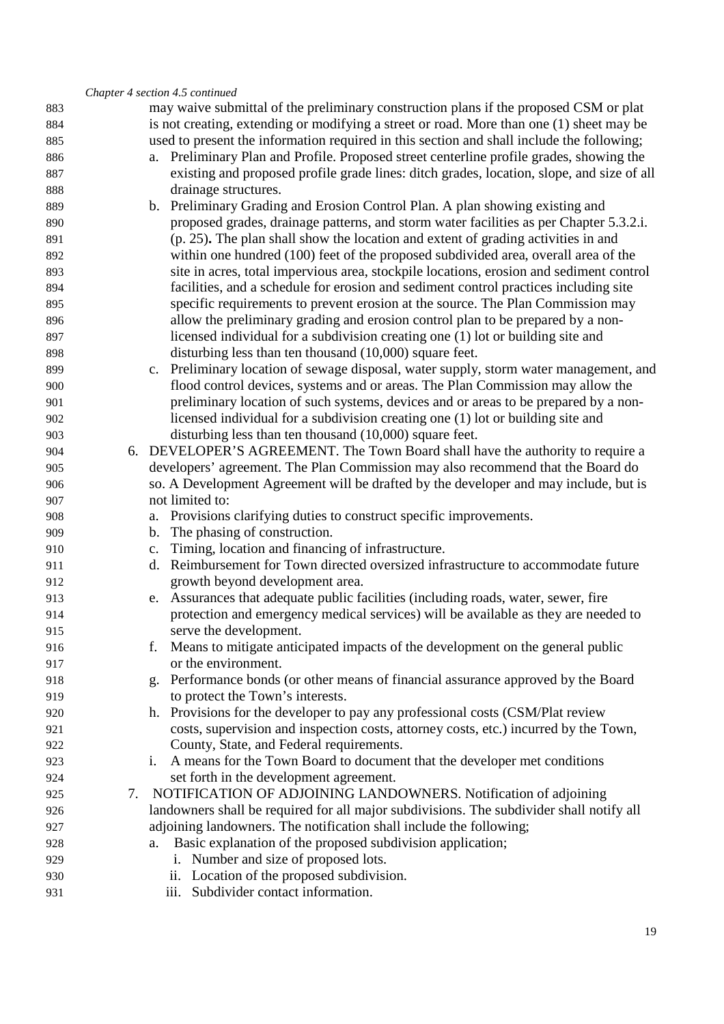|     |    | Chapter 4 section 4.5 continued                                                           |
|-----|----|-------------------------------------------------------------------------------------------|
| 883 |    | may waive submittal of the preliminary construction plans if the proposed CSM or plat     |
| 884 |    | is not creating, extending or modifying a street or road. More than one (1) sheet may be  |
| 885 |    | used to present the information required in this section and shall include the following; |
| 886 |    | a. Preliminary Plan and Profile. Proposed street centerline profile grades, showing the   |
| 887 |    | existing and proposed profile grade lines: ditch grades, location, slope, and size of all |
| 888 |    | drainage structures.                                                                      |
| 889 |    | b. Preliminary Grading and Erosion Control Plan. A plan showing existing and              |
| 890 |    | proposed grades, drainage patterns, and storm water facilities as per Chapter 5.3.2.i.    |
| 891 |    | (p. 25). The plan shall show the location and extent of grading activities in and         |
| 892 |    | within one hundred (100) feet of the proposed subdivided area, overall area of the        |
| 893 |    | site in acres, total impervious area, stockpile locations, erosion and sediment control   |
| 894 |    | facilities, and a schedule for erosion and sediment control practices including site      |
| 895 |    | specific requirements to prevent erosion at the source. The Plan Commission may           |
| 896 |    | allow the preliminary grading and erosion control plan to be prepared by a non-           |
| 897 |    | licensed individual for a subdivision creating one (1) lot or building site and           |
| 898 |    | disturbing less than ten thousand (10,000) square feet.                                   |
| 899 |    | c. Preliminary location of sewage disposal, water supply, storm water management, and     |
| 900 |    | flood control devices, systems and or areas. The Plan Commission may allow the            |
| 901 |    | preliminary location of such systems, devices and or areas to be prepared by a non-       |
| 902 |    | licensed individual for a subdivision creating one (1) lot or building site and           |
| 903 |    | disturbing less than ten thousand $(10,000)$ square feet.                                 |
| 904 |    | 6. DEVELOPER'S AGREEMENT. The Town Board shall have the authority to require a            |
| 905 |    | developers' agreement. The Plan Commission may also recommend that the Board do           |
| 906 |    | so. A Development Agreement will be drafted by the developer and may include, but is      |
| 907 |    | not limited to:                                                                           |
| 908 |    | a. Provisions clarifying duties to construct specific improvements.                       |
| 909 |    | The phasing of construction.<br>b.                                                        |
| 910 |    | Timing, location and financing of infrastructure.<br>$\mathbf{c}.$                        |
| 911 |    | d. Reimbursement for Town directed oversized infrastructure to accommodate future         |
| 912 |    | growth beyond development area.                                                           |
| 913 |    | e. Assurances that adequate public facilities (including roads, water, sewer, fire        |
| 914 |    | protection and emergency medical services) will be available as they are needed to        |
| 915 |    | serve the development.                                                                    |
| 916 |    | Means to mitigate anticipated impacts of the development on the general public            |
| 917 |    | or the environment.                                                                       |
| 918 |    | Performance bonds (or other means of financial assurance approved by the Board<br>g.      |
| 919 |    | to protect the Town's interests.                                                          |
| 920 |    | h. Provisions for the developer to pay any professional costs (CSM/Plat review            |
| 921 |    | costs, supervision and inspection costs, attorney costs, etc.) incurred by the Town,      |
| 922 |    | County, State, and Federal requirements.                                                  |
| 923 |    | A means for the Town Board to document that the developer met conditions<br>i.            |
| 924 |    | set forth in the development agreement.                                                   |
| 925 | 7. | NOTIFICATION OF ADJOINING LANDOWNERS. Notification of adjoining                           |
| 926 |    | landowners shall be required for all major subdivisions. The subdivider shall notify all  |
| 927 |    | adjoining landowners. The notification shall include the following;                       |
| 928 |    | Basic explanation of the proposed subdivision application;<br>a.                          |
| 929 |    | Number and size of proposed lots.<br>i.                                                   |
| 930 |    | ii. Location of the proposed subdivision.                                                 |
| 931 |    | Subdivider contact information.<br>$\overline{111}$ .                                     |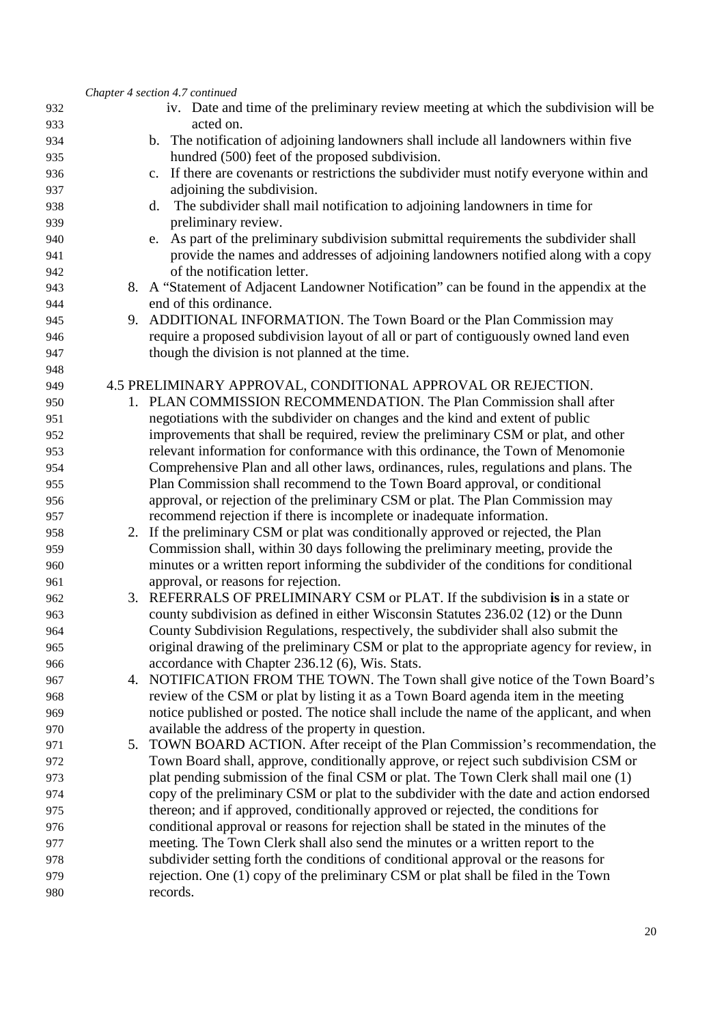|            |    | Chapter 4 section 4.7 continued                                                                                                                                           |
|------------|----|---------------------------------------------------------------------------------------------------------------------------------------------------------------------------|
| 932        |    | iv. Date and time of the preliminary review meeting at which the subdivision will be                                                                                      |
| 933        |    | acted on.                                                                                                                                                                 |
| 934        |    | b. The notification of adjoining landowners shall include all landowners within five                                                                                      |
| 935        |    | hundred (500) feet of the proposed subdivision.                                                                                                                           |
| 936        |    | If there are covenants or restrictions the subdivider must notify everyone within and<br>$\mathbf{c}$ .                                                                   |
| 937        |    | adjoining the subdivision.                                                                                                                                                |
| 938        |    | The subdivider shall mail notification to adjoining landowners in time for<br>d.                                                                                          |
| 939        |    | preliminary review.                                                                                                                                                       |
| 940        |    | As part of the preliminary subdivision submittal requirements the subdivider shall<br>e.                                                                                  |
| 941        |    | provide the names and addresses of adjoining landowners notified along with a copy                                                                                        |
| 942        |    | of the notification letter.                                                                                                                                               |
| 943        |    | 8. A "Statement of Adjacent Landowner Notification" can be found in the appendix at the                                                                                   |
| 944        |    | end of this ordinance.                                                                                                                                                    |
| 945        | 9. | ADDITIONAL INFORMATION. The Town Board or the Plan Commission may                                                                                                         |
| 946        |    | require a proposed subdivision layout of all or part of contiguously owned land even                                                                                      |
| 947        |    | though the division is not planned at the time.                                                                                                                           |
| 948        |    |                                                                                                                                                                           |
| 949        |    | 4.5 PRELIMINARY APPROVAL, CONDITIONAL APPROVAL OR REJECTION.                                                                                                              |
| 950        |    | 1. PLAN COMMISSION RECOMMENDATION. The Plan Commission shall after                                                                                                        |
| 951        |    | negotiations with the subdivider on changes and the kind and extent of public                                                                                             |
| 952        |    | improvements that shall be required, review the preliminary CSM or plat, and other                                                                                        |
| 953        |    | relevant information for conformance with this ordinance, the Town of Menomonie                                                                                           |
| 954        |    | Comprehensive Plan and all other laws, ordinances, rules, regulations and plans. The                                                                                      |
| 955        |    | Plan Commission shall recommend to the Town Board approval, or conditional                                                                                                |
| 956        |    | approval, or rejection of the preliminary CSM or plat. The Plan Commission may                                                                                            |
| 957        |    | recommend rejection if there is incomplete or inadequate information.                                                                                                     |
| 958        |    | 2. If the preliminary CSM or plat was conditionally approved or rejected, the Plan                                                                                        |
| 959        |    | Commission shall, within 30 days following the preliminary meeting, provide the<br>minutes or a written report informing the subdivider of the conditions for conditional |
| 960        |    | approval, or reasons for rejection.                                                                                                                                       |
| 961<br>962 |    | 3. REFERRALS OF PRELIMINARY CSM or PLAT. If the subdivision is in a state or                                                                                              |
| 963        |    | county subdivision as defined in either Wisconsin Statutes 236.02 (12) or the Dunn                                                                                        |
| 964        |    | County Subdivision Regulations, respectively, the subdivider shall also submit the                                                                                        |
| 965        |    | original drawing of the preliminary CSM or plat to the appropriate agency for review, in                                                                                  |
| 966        |    | accordance with Chapter 236.12 (6), Wis. Stats.                                                                                                                           |
| 967        |    | 4. NOTIFICATION FROM THE TOWN. The Town shall give notice of the Town Board's                                                                                             |
| 968        |    | review of the CSM or plat by listing it as a Town Board agenda item in the meeting                                                                                        |
| 969        |    | notice published or posted. The notice shall include the name of the applicant, and when                                                                                  |
| 970        |    | available the address of the property in question.                                                                                                                        |
| 971        | 5. | TOWN BOARD ACTION. After receipt of the Plan Commission's recommendation, the                                                                                             |
| 972        |    | Town Board shall, approve, conditionally approve, or reject such subdivision CSM or                                                                                       |
| 973        |    | plat pending submission of the final CSM or plat. The Town Clerk shall mail one (1)                                                                                       |
| 974        |    | copy of the preliminary CSM or plat to the subdivider with the date and action endorsed                                                                                   |
| 975        |    | thereon; and if approved, conditionally approved or rejected, the conditions for                                                                                          |
| 976        |    | conditional approval or reasons for rejection shall be stated in the minutes of the                                                                                       |
| 977        |    | meeting. The Town Clerk shall also send the minutes or a written report to the                                                                                            |
| 978        |    | subdivider setting forth the conditions of conditional approval or the reasons for                                                                                        |
| 979        |    | rejection. One (1) copy of the preliminary CSM or plat shall be filed in the Town                                                                                         |
| 980        |    | records.                                                                                                                                                                  |
|            |    |                                                                                                                                                                           |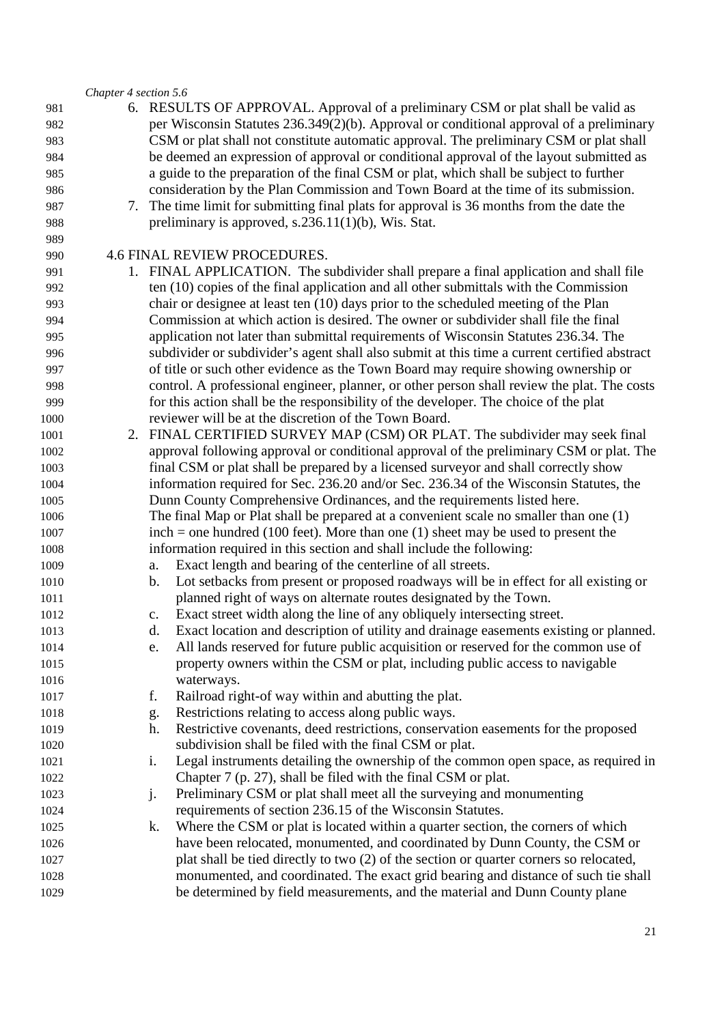#### *Chapter 4 section 5.6*

6. RESULTS OF APPROVAL. Approval of a preliminary CSM or plat shall be valid as per Wisconsin Statutes 236.349(2)(b). Approval or conditional approval of a preliminary CSM or plat shall not constitute automatic approval. The preliminary CSM or plat shall be deemed an expression of approval or conditional approval of the layout submitted as a guide to the preparation of the final CSM or plat, which shall be subject to further consideration by the Plan Commission and Town Board at the time of its submission. 7. The time limit for submitting final plats for approval is 36 months from the date the preliminary is approved, s.236.11(1)(b), Wis. Stat. 4.6 FINAL REVIEW PROCEDURES. 1. FINAL APPLICATION. The subdivider shall prepare a final application and shall file ten (10) copies of the final application and all other submittals with the Commission chair or designee at least ten (10) days prior to the scheduled meeting of the Plan Commission at which action is desired. The owner or subdivider shall file the final application not later than submittal requirements of Wisconsin Statutes 236.34. The subdivider or subdivider's agent shall also submit at this time a current certified abstract of title or such other evidence as the Town Board may require showing ownership or control. A professional engineer, planner, or other person shall review the plat. The costs for this action shall be the responsibility of the developer. The choice of the plat reviewer will be at the discretion of the Town Board. 2. FINAL CERTIFIED SURVEY MAP (CSM) OR PLAT. The subdivider may seek final approval following approval or conditional approval of the preliminary CSM or plat. The final CSM or plat shall be prepared by a licensed surveyor and shall correctly show information required for Sec. 236.20 and/or Sec. 236.34 of the Wisconsin Statutes, the Dunn County Comprehensive Ordinances, and the requirements listed here. The final Map or Plat shall be prepared at a convenient scale no smaller than one (1) inch = one hundred (100 feet). More than one (1) sheet may be used to present the information required in this section and shall include the following: a. Exact length and bearing of the centerline of all streets. b. Lot setbacks from present or proposed roadways will be in effect for all existing or planned right of ways on alternate routes designated by the Town. c. Exact street width along the line of any obliquely intersecting street. d. Exact location and description of utility and drainage easements existing or planned. e. All lands reserved for future public acquisition or reserved for the common use of property owners within the CSM or plat, including public access to navigable waterways. f. Railroad right-of way within and abutting the plat. g. Restrictions relating to access along public ways. h. Restrictive covenants, deed restrictions, conservation easements for the proposed subdivision shall be filed with the final CSM or plat. i. Legal instruments detailing the ownership of the common open space, as required in Chapter 7 (p. 27), shall be filed with the final CSM or plat. j. Preliminary CSM or plat shall meet all the surveying and monumenting requirements of section 236.15 of the Wisconsin Statutes. k. Where the CSM or plat is located within a quarter section, the corners of which have been relocated, monumented, and coordinated by Dunn County, the CSM or plat shall be tied directly to two (2) of the section or quarter corners so relocated, monumented, and coordinated. The exact grid bearing and distance of such tie shall be determined by field measurements, and the material and Dunn County plane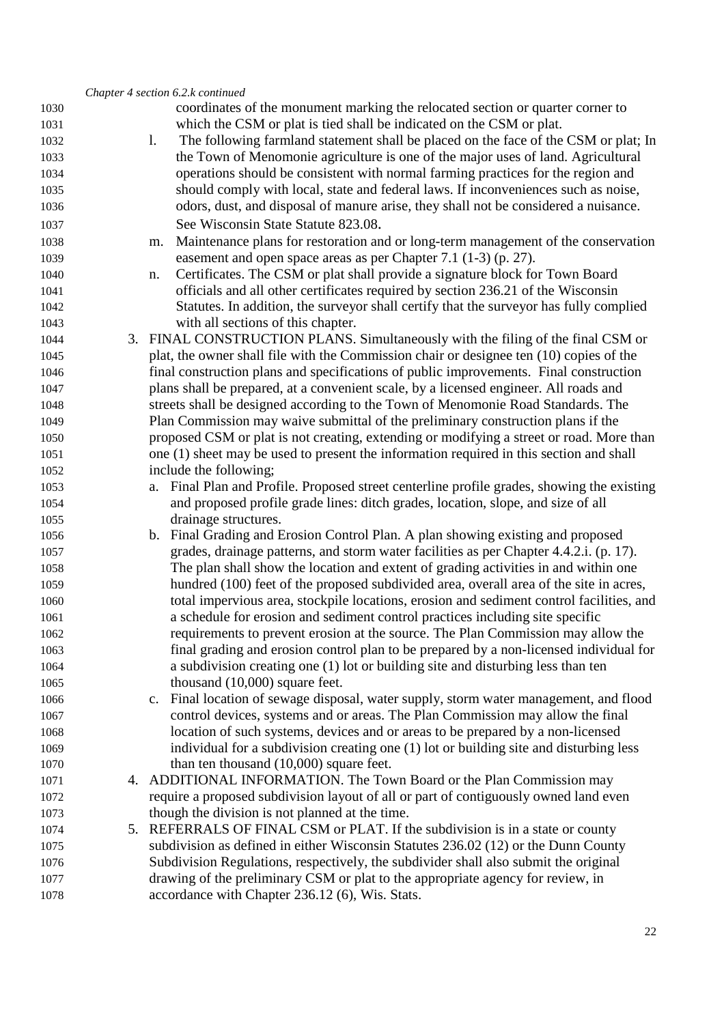|      | Chapter 4 section 6.2.k continued                                                                 |
|------|---------------------------------------------------------------------------------------------------|
| 1030 | coordinates of the monument marking the relocated section or quarter corner to                    |
| 1031 | which the CSM or plat is tied shall be indicated on the CSM or plat.                              |
| 1032 | The following farmland statement shall be placed on the face of the CSM or plat; In<br>1.         |
| 1033 | the Town of Menomonie agriculture is one of the major uses of land. Agricultural                  |
| 1034 | operations should be consistent with normal farming practices for the region and                  |
| 1035 | should comply with local, state and federal laws. If inconveniences such as noise,                |
| 1036 | odors, dust, and disposal of manure arise, they shall not be considered a nuisance.               |
| 1037 | See Wisconsin State Statute 823.08.                                                               |
| 1038 | Maintenance plans for restoration and or long-term management of the conservation<br>m.           |
| 1039 | easement and open space areas as per Chapter 7.1 (1-3) (p. 27).                                   |
| 1040 | Certificates. The CSM or plat shall provide a signature block for Town Board<br>n.                |
| 1041 | officials and all other certificates required by section 236.21 of the Wisconsin                  |
| 1042 | Statutes. In addition, the surveyor shall certify that the surveyor has fully complied            |
| 1043 | with all sections of this chapter.                                                                |
| 1044 | 3. FINAL CONSTRUCTION PLANS. Simultaneously with the filing of the final CSM or                   |
| 1045 | plat, the owner shall file with the Commission chair or designee ten (10) copies of the           |
| 1046 | final construction plans and specifications of public improvements. Final construction            |
| 1047 | plans shall be prepared, at a convenient scale, by a licensed engineer. All roads and             |
| 1048 | streets shall be designed according to the Town of Menomonie Road Standards. The                  |
| 1049 | Plan Commission may waive submittal of the preliminary construction plans if the                  |
| 1050 | proposed CSM or plat is not creating, extending or modifying a street or road. More than          |
| 1051 | one (1) sheet may be used to present the information required in this section and shall           |
| 1052 | include the following;                                                                            |
| 1053 | a. Final Plan and Profile. Proposed street centerline profile grades, showing the existing        |
| 1054 | and proposed profile grade lines: ditch grades, location, slope, and size of all                  |
| 1055 | drainage structures.                                                                              |
| 1056 | b. Final Grading and Erosion Control Plan. A plan showing existing and proposed                   |
| 1057 | grades, drainage patterns, and storm water facilities as per Chapter 4.4.2.i. (p. 17).            |
| 1058 | The plan shall show the location and extent of grading activities in and within one               |
| 1059 | hundred (100) feet of the proposed subdivided area, overall area of the site in acres,            |
| 1060 | total impervious area, stockpile locations, erosion and sediment control facilities, and          |
| 1061 | a schedule for erosion and sediment control practices including site specific                     |
| 1062 | requirements to prevent erosion at the source. The Plan Commission may allow the                  |
| 1063 | final grading and erosion control plan to be prepared by a non-licensed individual for            |
| 1064 | a subdivision creating one (1) lot or building site and disturbing less than ten                  |
| 1065 | thousand $(10,000)$ square feet.                                                                  |
| 1066 | Final location of sewage disposal, water supply, storm water management, and flood<br>$c_{\cdot}$ |
| 1067 | control devices, systems and or areas. The Plan Commission may allow the final                    |
| 1068 | location of such systems, devices and or areas to be prepared by a non-licensed                   |
| 1069 | individual for a subdivision creating one (1) lot or building site and disturbing less            |
| 1070 | than ten thousand $(10,000)$ square feet.                                                         |
| 1071 | 4. ADDITIONAL INFORMATION. The Town Board or the Plan Commission may                              |
| 1072 | require a proposed subdivision layout of all or part of contiguously owned land even              |
| 1073 | though the division is not planned at the time.                                                   |
| 1074 | 5. REFERRALS OF FINAL CSM or PLAT. If the subdivision is in a state or county                     |
| 1075 | subdivision as defined in either Wisconsin Statutes 236.02 (12) or the Dunn County                |
| 1076 | Subdivision Regulations, respectively, the subdivider shall also submit the original              |
| 1077 | drawing of the preliminary CSM or plat to the appropriate agency for review, in                   |
| 1078 | accordance with Chapter 236.12 (6), Wis. Stats.                                                   |
|      |                                                                                                   |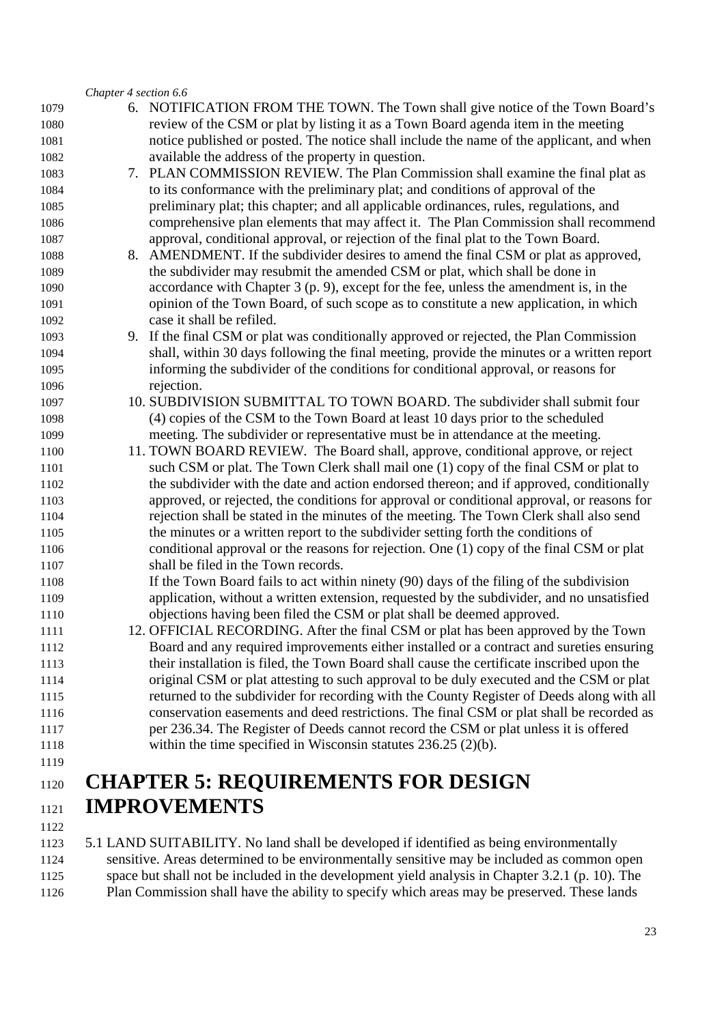#### *Chapter 4 section 6.6*

| 1079 | 6. NOTIFICATION FROM THE TOWN. The Town shall give notice of the Town Board's              |
|------|--------------------------------------------------------------------------------------------|
| 1080 | review of the CSM or plat by listing it as a Town Board agenda item in the meeting         |
| 1081 | notice published or posted. The notice shall include the name of the applicant, and when   |
| 1082 | available the address of the property in question.                                         |
| 1083 | 7. PLAN COMMISSION REVIEW. The Plan Commission shall examine the final plat as             |
| 1084 | to its conformance with the preliminary plat; and conditions of approval of the            |
| 1085 | preliminary plat; this chapter; and all applicable ordinances, rules, regulations, and     |
| 1086 | comprehensive plan elements that may affect it. The Plan Commission shall recommend        |
| 1087 | approval, conditional approval, or rejection of the final plat to the Town Board.          |
| 1088 | 8. AMENDMENT. If the subdivider desires to amend the final CSM or plat as approved,        |
| 1089 | the subdivider may resubmit the amended CSM or plat, which shall be done in                |
| 1090 | accordance with Chapter $3$ (p. 9), except for the fee, unless the amendment is, in the    |
| 1091 | opinion of the Town Board, of such scope as to constitute a new application, in which      |
| 1092 | case it shall be refiled.                                                                  |
| 1093 | 9. If the final CSM or plat was conditionally approved or rejected, the Plan Commission    |
| 1094 | shall, within 30 days following the final meeting, provide the minutes or a written report |
| 1095 | informing the subdivider of the conditions for conditional approval, or reasons for        |
| 1096 | rejection.                                                                                 |
| 1097 | 10. SUBDIVISION SUBMITTAL TO TOWN BOARD. The subdivider shall submit four                  |
| 1098 | (4) copies of the CSM to the Town Board at least 10 days prior to the scheduled            |
| 1099 | meeting. The subdivider or representative must be in attendance at the meeting.            |
| 1100 | 11. TOWN BOARD REVIEW. The Board shall, approve, conditional approve, or reject            |
| 1101 | such CSM or plat. The Town Clerk shall mail one (1) copy of the final CSM or plat to       |
| 1102 | the subdivider with the date and action endorsed thereon; and if approved, conditionally   |
| 1103 | approved, or rejected, the conditions for approval or conditional approval, or reasons for |
| 1104 | rejection shall be stated in the minutes of the meeting. The Town Clerk shall also send    |
| 1105 | the minutes or a written report to the subdivider setting forth the conditions of          |
| 1106 | conditional approval or the reasons for rejection. One (1) copy of the final CSM or plat   |
| 1107 | shall be filed in the Town records.                                                        |
| 1108 | If the Town Board fails to act within ninety (90) days of the filing of the subdivision    |
| 1109 | application, without a written extension, requested by the subdivider, and no unsatisfied  |
| 1110 | objections having been filed the CSM or plat shall be deemed approved.                     |
| 1111 | 12. OFFICIAL RECORDING. After the final CSM or plat has been approved by the Town          |
| 1112 | Board and any required improvements either installed or a contract and sureties ensuring   |
| 1113 | their installation is filed, the Town Board shall cause the certificate inscribed upon the |
| 1114 | original CSM or plat attesting to such approval to be duly executed and the CSM or plat    |
| 1115 | returned to the subdivider for recording with the County Register of Deeds along with all  |
| 1116 | conservation easements and deed restrictions. The final CSM or plat shall be recorded as   |
| 1117 | per 236.34. The Register of Deeds cannot record the CSM or plat unless it is offered       |
| 1118 | within the time specified in Wisconsin statutes $236.25$ (2)(b).                           |
| 1119 |                                                                                            |
| 1120 | <b>CHAPTER 5: REQUIREMENTS FOR DESIGN</b>                                                  |

**IMPROVEMENTS**  

5.1 LAND SUITABILITY. No land shall be developed if identified as being environmentally sensitive. Areas determined to be environmentally sensitive may be included as common open space but shall not be included in the development yield analysis in Chapter 3.2.1 (p. 10). The Plan Commission shall have the ability to specify which areas may be preserved. These lands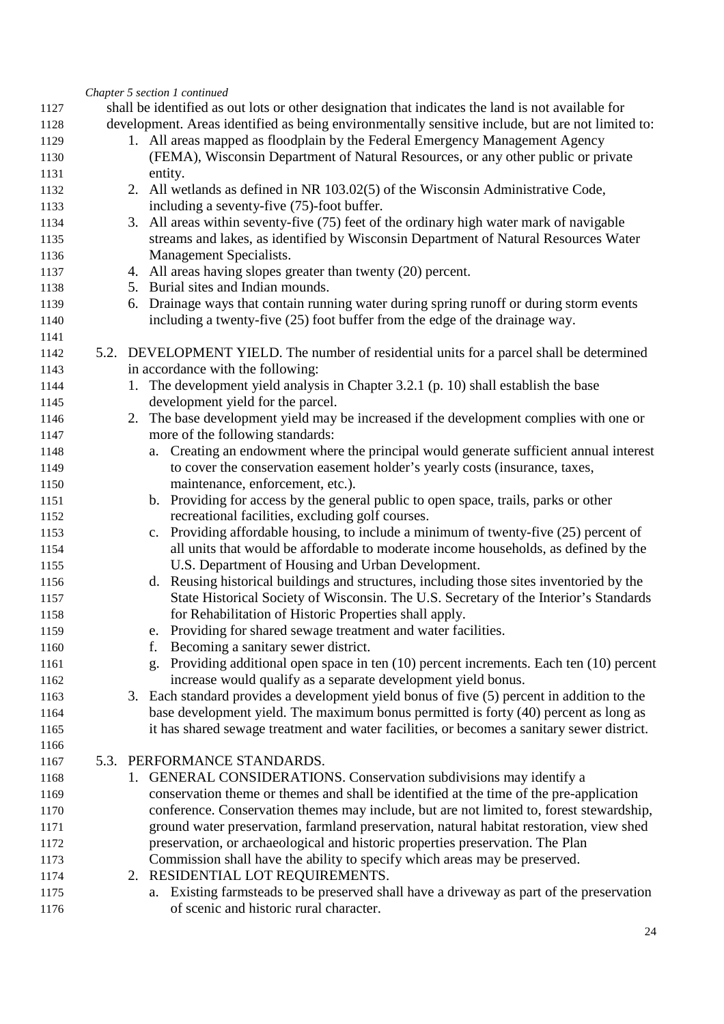|      | Chapter 5 section 1 continued                                                                             |
|------|-----------------------------------------------------------------------------------------------------------|
| 1127 | shall be identified as out lots or other designation that indicates the land is not available for         |
| 1128 | development. Areas identified as being environmentally sensitive include, but are not limited to:         |
| 1129 | 1. All areas mapped as floodplain by the Federal Emergency Management Agency                              |
| 1130 | (FEMA), Wisconsin Department of Natural Resources, or any other public or private                         |
| 1131 | entity.                                                                                                   |
| 1132 | 2. All wetlands as defined in NR 103.02(5) of the Wisconsin Administrative Code,                          |
| 1133 | including a seventy-five (75)-foot buffer.                                                                |
| 1134 | 3. All areas within seventy-five (75) feet of the ordinary high water mark of navigable                   |
| 1135 | streams and lakes, as identified by Wisconsin Department of Natural Resources Water                       |
| 1136 | Management Specialists.                                                                                   |
| 1137 | 4. All areas having slopes greater than twenty (20) percent.                                              |
| 1138 | 5. Burial sites and Indian mounds.                                                                        |
| 1139 | 6. Drainage ways that contain running water during spring runoff or during storm events                   |
| 1140 | including a twenty-five (25) foot buffer from the edge of the drainage way.                               |
| 1141 |                                                                                                           |
| 1142 | 5.2. DEVELOPMENT YIELD. The number of residential units for a parcel shall be determined                  |
| 1143 | in accordance with the following:                                                                         |
| 1144 | 1. The development yield analysis in Chapter 3.2.1 (p. 10) shall establish the base                       |
| 1145 | development yield for the parcel.                                                                         |
| 1146 | 2. The base development yield may be increased if the development complies with one or                    |
| 1147 | more of the following standards:                                                                          |
| 1148 | Creating an endowment where the principal would generate sufficient annual interest<br>a.                 |
| 1149 | to cover the conservation easement holder's yearly costs (insurance, taxes,                               |
| 1150 | maintenance, enforcement, etc.).                                                                          |
| 1151 | b. Providing for access by the general public to open space, trails, parks or other                       |
| 1152 | recreational facilities, excluding golf courses.                                                          |
| 1153 | c. Providing affordable housing, to include a minimum of twenty-five (25) percent of                      |
| 1154 | all units that would be affordable to moderate income households, as defined by the                       |
| 1155 | U.S. Department of Housing and Urban Development.                                                         |
| 1156 | d. Reusing historical buildings and structures, including those sites inventoried by the                  |
| 1157 | State Historical Society of Wisconsin. The U.S. Secretary of the Interior's Standards                     |
| 1158 | for Rehabilitation of Historic Properties shall apply.                                                    |
| 1159 | e. Providing for shared sewage treatment and water facilities.                                            |
| 1160 | Becoming a sanitary sewer district.<br>f.                                                                 |
| 1161 | Providing additional open space in ten (10) percent increments. Each ten (10) percent<br>$\mathfrak{g}$ . |
| 1162 | increase would qualify as a separate development yield bonus.                                             |
| 1163 | 3. Each standard provides a development yield bonus of five (5) percent in addition to the                |
| 1164 | base development yield. The maximum bonus permitted is forty (40) percent as long as                      |
| 1165 | it has shared sewage treatment and water facilities, or becomes a sanitary sewer district.                |
| 1166 |                                                                                                           |
| 1167 | 5.3. PERFORMANCE STANDARDS.                                                                               |
| 1168 | 1. GENERAL CONSIDERATIONS. Conservation subdivisions may identify a                                       |
| 1169 | conservation theme or themes and shall be identified at the time of the pre-application                   |
| 1170 | conference. Conservation themes may include, but are not limited to, forest stewardship,                  |
| 1171 | ground water preservation, farmland preservation, natural habitat restoration, view shed                  |
| 1172 | preservation, or archaeological and historic properties preservation. The Plan                            |
| 1173 | Commission shall have the ability to specify which areas may be preserved.                                |
| 1174 | 2. RESIDENTIAL LOT REQUIREMENTS.                                                                          |
| 1175 | a. Existing farmsteads to be preserved shall have a driveway as part of the preservation                  |
| 1176 | of scenic and historic rural character.                                                                   |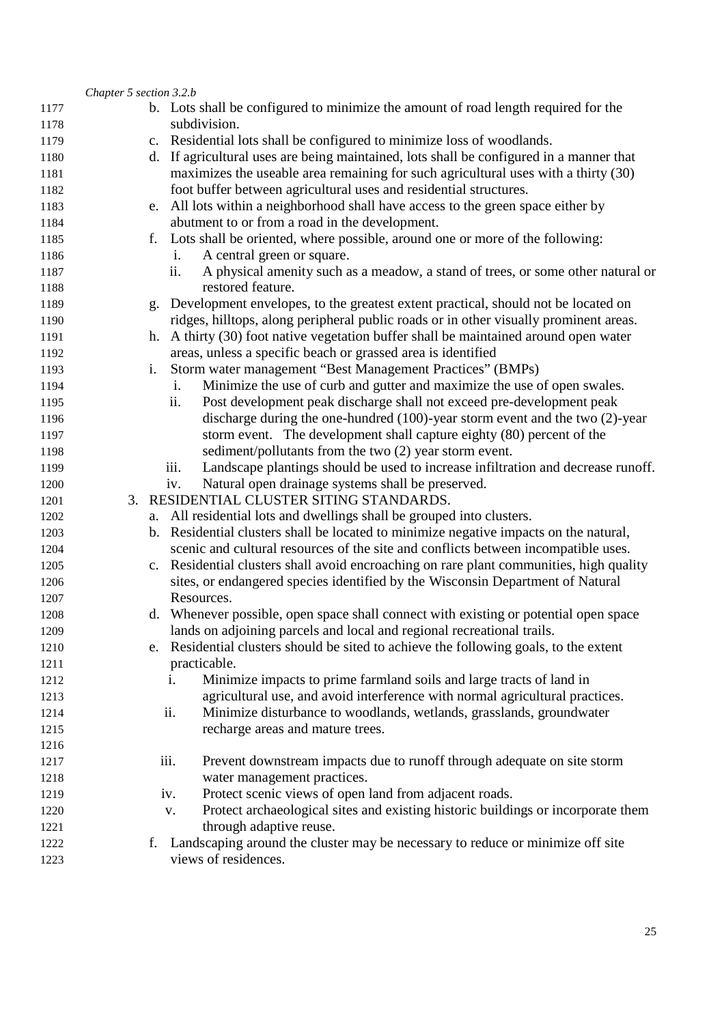|      | Chapter 5 section 3.2.b |    |                                                                                          |
|------|-------------------------|----|------------------------------------------------------------------------------------------|
| 1177 |                         |    | b. Lots shall be configured to minimize the amount of road length required for the       |
| 1178 |                         |    | subdivision.                                                                             |
| 1179 |                         |    | c. Residential lots shall be configured to minimize loss of woodlands.                   |
| 1180 |                         | d. | If agricultural uses are being maintained, lots shall be configured in a manner that     |
| 1181 |                         |    | maximizes the useable area remaining for such agricultural uses with a thirty (30)       |
| 1182 |                         |    | foot buffer between agricultural uses and residential structures.                        |
| 1183 |                         |    | e. All lots within a neighborhood shall have access to the green space either by         |
| 1184 |                         |    | abutment to or from a road in the development.                                           |
| 1185 |                         | f. | Lots shall be oriented, where possible, around one or more of the following:             |
| 1186 |                         |    | A central green or square.<br>1.                                                         |
| 1187 |                         |    | A physical amenity such as a meadow, a stand of trees, or some other natural or<br>ii.   |
| 1188 |                         |    | restored feature.                                                                        |
| 1189 |                         |    | g. Development envelopes, to the greatest extent practical, should not be located on     |
| 1190 |                         |    | ridges, hilltops, along peripheral public roads or in other visually prominent areas.    |
| 1191 |                         | h. | A thirty (30) foot native vegetation buffer shall be maintained around open water        |
| 1192 |                         |    | areas, unless a specific beach or grassed area is identified                             |
| 1193 |                         | i. | Storm water management "Best Management Practices" (BMPs)                                |
| 1194 |                         |    | Minimize the use of curb and gutter and maximize the use of open swales.<br>i.           |
| 1195 |                         |    | Post development peak discharge shall not exceed pre-development peak<br>ii.             |
| 1196 |                         |    | discharge during the one-hundred (100)-year storm event and the two (2)-year             |
| 1197 |                         |    | storm event. The development shall capture eighty (80) percent of the                    |
| 1198 |                         |    | sediment/pollutants from the two (2) year storm event.                                   |
| 1199 |                         |    | Landscape plantings should be used to increase infiltration and decrease runoff.<br>iii. |
| 1200 |                         |    | Natural open drainage systems shall be preserved.<br>iv.                                 |
| 1201 | 3.                      |    | RESIDENTIAL CLUSTER SITING STANDARDS.                                                    |
| 1202 |                         | a. | All residential lots and dwellings shall be grouped into clusters.                       |
| 1203 |                         | b. | Residential clusters shall be located to minimize negative impacts on the natural,       |
| 1204 |                         |    | scenic and cultural resources of the site and conflicts between incompatible uses.       |
| 1205 |                         |    | c. Residential clusters shall avoid encroaching on rare plant communities, high quality  |
| 1206 |                         |    | sites, or endangered species identified by the Wisconsin Department of Natural           |
| 1207 |                         |    | Resources.                                                                               |
| 1208 |                         |    | d. Whenever possible, open space shall connect with existing or potential open space     |
| 1209 |                         |    | lands on adjoining parcels and local and regional recreational trails.                   |
| 1210 |                         | e. | Residential clusters should be sited to achieve the following goals, to the extent       |
| 1211 |                         |    | practicable.                                                                             |
| 1212 |                         |    | Minimize impacts to prime farmland soils and large tracts of land in<br>i.               |
| 1213 |                         |    | agricultural use, and avoid interference with normal agricultural practices.             |
| 1214 |                         |    | Minimize disturbance to woodlands, wetlands, grasslands, groundwater<br>ii.              |
| 1215 |                         |    | recharge areas and mature trees.                                                         |
| 1216 |                         |    |                                                                                          |
| 1217 |                         |    | iii.<br>Prevent downstream impacts due to runoff through adequate on site storm          |
| 1218 |                         |    | water management practices.                                                              |
| 1219 |                         |    | Protect scenic views of open land from adjacent roads.<br>iv.                            |
| 1220 |                         |    | Protect archaeological sites and existing historic buildings or incorporate them<br>V.   |
| 1221 |                         |    | through adaptive reuse.                                                                  |
| 1222 |                         | f. | Landscaping around the cluster may be necessary to reduce or minimize off site           |
| 1223 |                         |    | views of residences.                                                                     |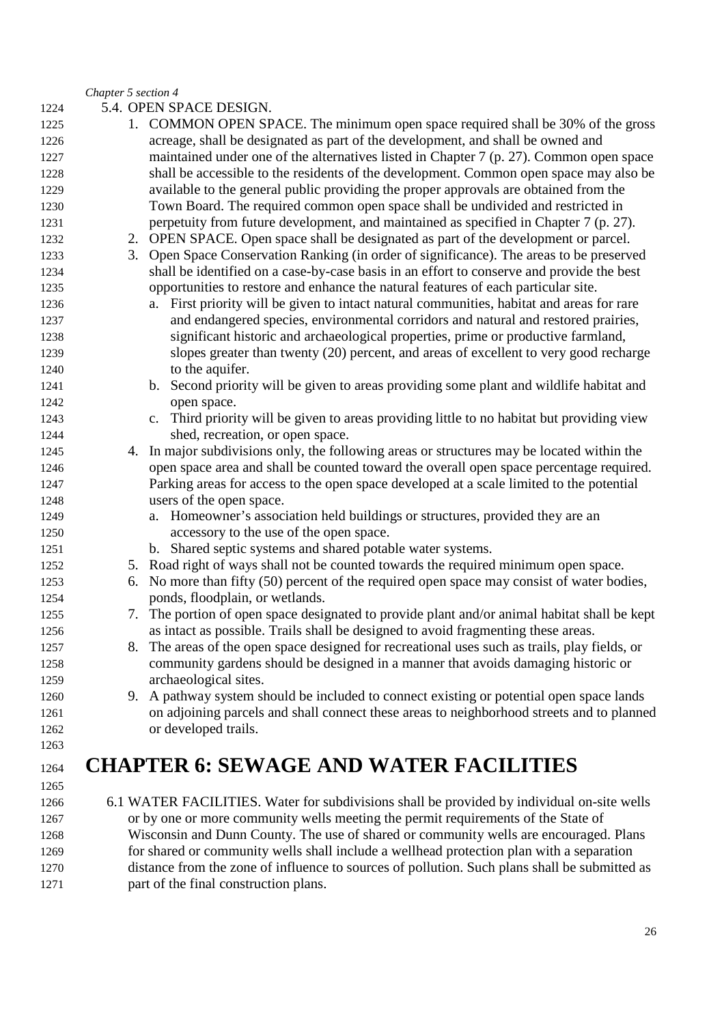#### *Chapter 5 section 4*

- 5.4. OPEN SPACE DESIGN.
- 1. COMMON OPEN SPACE. The minimum open space required shall be 30% of the gross acreage, shall be designated as part of the development, and shall be owned and maintained under one of the alternatives listed in Chapter 7 (p. 27). Common open space shall be accessible to the residents of the development. Common open space may also be available to the general public providing the proper approvals are obtained from the Town Board. The required common open space shall be undivided and restricted in perpetuity from future development, and maintained as specified in Chapter 7 (p. 27). 2. OPEN SPACE. Open space shall be designated as part of the development or parcel. 3. Open Space Conservation Ranking (in order of significance). The areas to be preserved shall be identified on a case-by-case basis in an effort to conserve and provide the best opportunities to restore and enhance the natural features of each particular site. a. First priority will be given to intact natural communities, habitat and areas for rare and endangered species, environmental corridors and natural and restored prairies, significant historic and archaeological properties, prime or productive farmland, slopes greater than twenty (20) percent, and areas of excellent to very good recharge 1240 to the aquifer. b. Second priority will be given to areas providing some plant and wildlife habitat and open space. c. Third priority will be given to areas providing little to no habitat but providing view 1244 shed, recreation, or open space. 4. In major subdivisions only, the following areas or structures may be located within the open space area and shall be counted toward the overall open space percentage required. Parking areas for access to the open space developed at a scale limited to the potential users of the open space. a. Homeowner's association held buildings or structures, provided they are an accessory to the use of the open space. b. Shared septic systems and shared potable water systems. 5. Road right of ways shall not be counted towards the required minimum open space. 6. No more than fifty (50) percent of the required open space may consist of water bodies, ponds, floodplain, or wetlands. 7. The portion of open space designated to provide plant and/or animal habitat shall be kept as intact as possible. Trails shall be designed to avoid fragmenting these areas. 8. The areas of the open space designed for recreational uses such as trails, play fields, or community gardens should be designed in a manner that avoids damaging historic or archaeological sites. 9. A pathway system should be included to connect existing or potential open space lands on adjoining parcels and shall connect these areas to neighborhood streets and to planned or developed trails. **CHAPTER 6: SEWAGE AND WATER FACILITIES**  6.1 WATER FACILITIES. Water for subdivisions shall be provided by individual on-site wells or by one or more community wells meeting the permit requirements of the State of Wisconsin and Dunn County. The use of shared or community wells are encouraged. Plans
- for shared or community wells shall include a wellhead protection plan with a separation distance from the zone of influence to sources of pollution. Such plans shall be submitted as part of the final construction plans.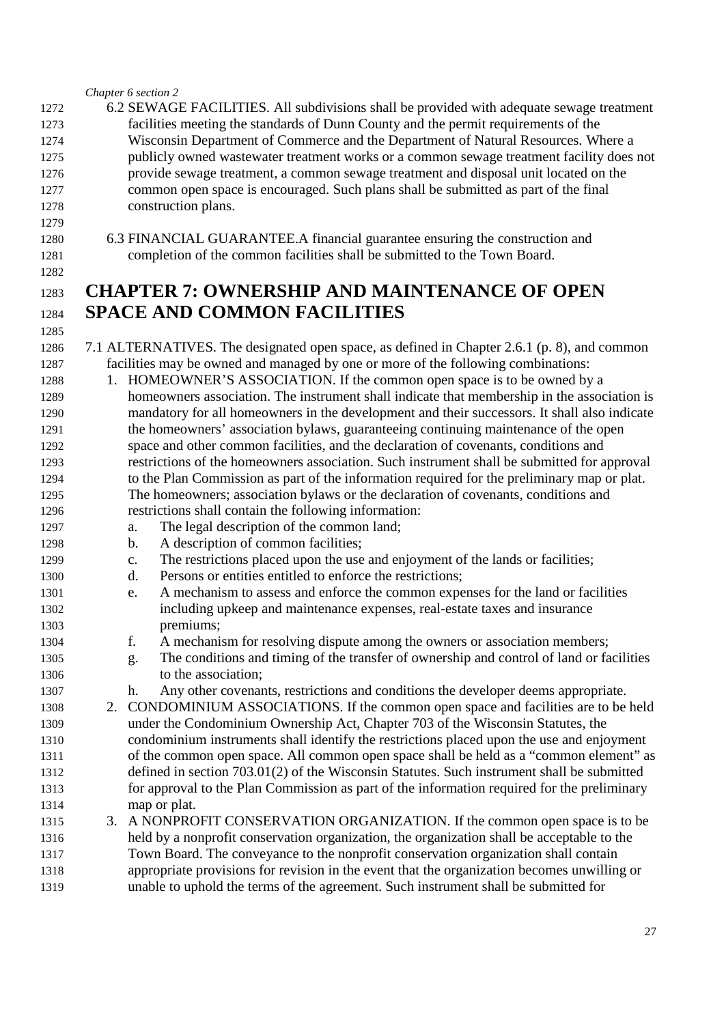#### *Chapter 6 section 2*

- 6.2 SEWAGE FACILITIES. All subdivisions shall be provided with adequate sewage treatment facilities meeting the standards of Dunn County and the permit requirements of the Wisconsin Department of Commerce and the Department of Natural Resources. Where a publicly owned wastewater treatment works or a common sewage treatment facility does not provide sewage treatment, a common sewage treatment and disposal unit located on the common open space is encouraged. Such plans shall be submitted as part of the final construction plans.
- 6.3 FINANCIAL GUARANTEE.A financial guarantee ensuring the construction and completion of the common facilities shall be submitted to the Town Board.

## **CHAPTER 7: OWNERSHIP AND MAINTENANCE OF OPEN SPACE AND COMMON FACILITIES**

- 7.1 ALTERNATIVES. The designated open space, as defined in Chapter 2.6.1 (p. 8), and common facilities may be owned and managed by one or more of the following combinations:
- 1. HOMEOWNER'S ASSOCIATION. If the common open space is to be owned by a homeowners association. The instrument shall indicate that membership in the association is mandatory for all homeowners in the development and their successors. It shall also indicate the homeowners' association bylaws, guaranteeing continuing maintenance of the open space and other common facilities, and the declaration of covenants, conditions and restrictions of the homeowners association. Such instrument shall be submitted for approval to the Plan Commission as part of the information required for the preliminary map or plat. The homeowners; association bylaws or the declaration of covenants, conditions and restrictions shall contain the following information:
- a. The legal description of the common land;
- b. A description of common facilities;
- c. The restrictions placed upon the use and enjoyment of the lands or facilities;
- d. Persons or entities entitled to enforce the restrictions;
- e. A mechanism to assess and enforce the common expenses for the land or facilities including upkeep and maintenance expenses, real-estate taxes and insurance premiums;
- f. A mechanism for resolving dispute among the owners or association members;
- g. The conditions and timing of the transfer of ownership and control of land or facilities 1306 to the association:
- h. Any other covenants, restrictions and conditions the developer deems appropriate.
- 2. CONDOMINIUM ASSOCIATIONS. If the common open space and facilities are to be held under the Condominium Ownership Act, Chapter 703 of the Wisconsin Statutes, the condominium instruments shall identify the restrictions placed upon the use and enjoyment of the common open space. All common open space shall be held as a "common element" as defined in section 703.01(2) of the Wisconsin Statutes. Such instrument shall be submitted for approval to the Plan Commission as part of the information required for the preliminary map or plat.
- 3. A NONPROFIT CONSERVATION ORGANIZATION. If the common open space is to be held by a nonprofit conservation organization, the organization shall be acceptable to the Town Board. The conveyance to the nonprofit conservation organization shall contain appropriate provisions for revision in the event that the organization becomes unwilling or unable to uphold the terms of the agreement. Such instrument shall be submitted for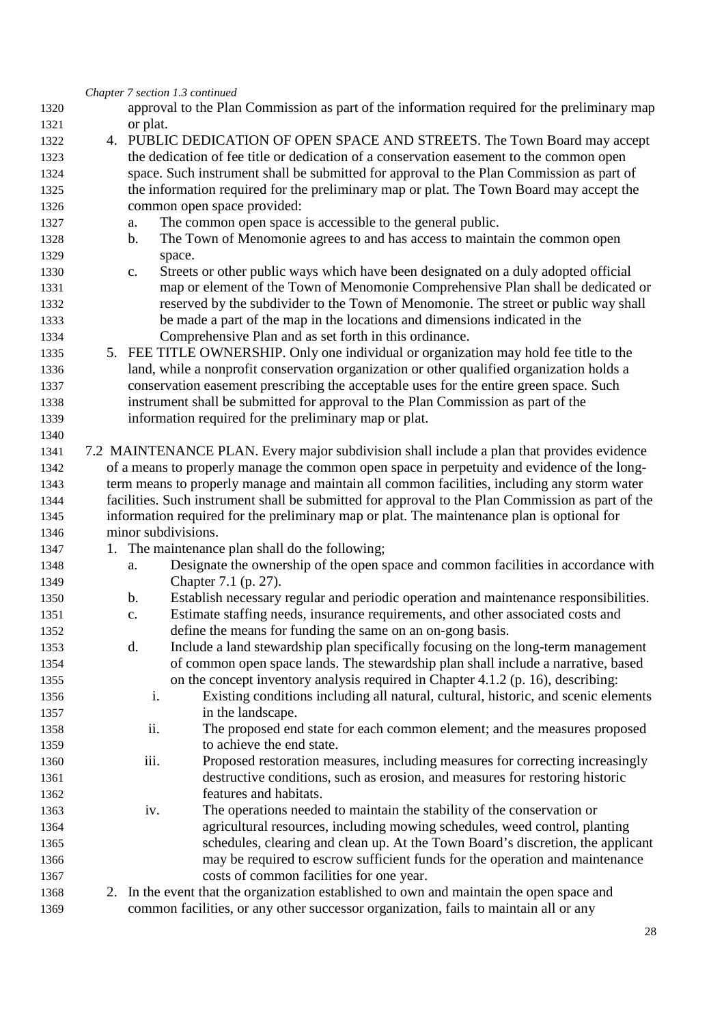|              | Chapter 7 section 1.3 continued                                                                                                         |  |
|--------------|-----------------------------------------------------------------------------------------------------------------------------------------|--|
| 1320         | approval to the Plan Commission as part of the information required for the preliminary map                                             |  |
| 1321         | or plat.                                                                                                                                |  |
| 1322         | 4. PUBLIC DEDICATION OF OPEN SPACE AND STREETS. The Town Board may accept                                                               |  |
| 1323         | the dedication of fee title or dedication of a conservation easement to the common open                                                 |  |
| 1324         | space. Such instrument shall be submitted for approval to the Plan Commission as part of                                                |  |
| 1325         | the information required for the preliminary map or plat. The Town Board may accept the                                                 |  |
| 1326         | common open space provided:                                                                                                             |  |
| 1327         | The common open space is accessible to the general public.<br>a.                                                                        |  |
| 1328         | The Town of Menomonie agrees to and has access to maintain the common open<br>b.                                                        |  |
| 1329         | space.                                                                                                                                  |  |
| 1330         | Streets or other public ways which have been designated on a duly adopted official<br>$C_{\bullet}$                                     |  |
| 1331         | map or element of the Town of Menomonie Comprehensive Plan shall be dedicated or                                                        |  |
| 1332         | reserved by the subdivider to the Town of Menomonie. The street or public way shall                                                     |  |
| 1333         | be made a part of the map in the locations and dimensions indicated in the                                                              |  |
| 1334         | Comprehensive Plan and as set forth in this ordinance.                                                                                  |  |
| 1335         | 5. FEE TITLE OWNERSHIP. Only one individual or organization may hold fee title to the                                                   |  |
| 1336         | land, while a nonprofit conservation organization or other qualified organization holds a                                               |  |
| 1337         | conservation easement prescribing the acceptable uses for the entire green space. Such                                                  |  |
| 1338         | instrument shall be submitted for approval to the Plan Commission as part of the                                                        |  |
| 1339         | information required for the preliminary map or plat.                                                                                   |  |
| 1340         |                                                                                                                                         |  |
| 1341         | 7.2 MAINTENANCE PLAN. Every major subdivision shall include a plan that provides evidence                                               |  |
| 1342         | of a means to properly manage the common open space in perpetuity and evidence of the long-                                             |  |
| 1343         | term means to properly manage and maintain all common facilities, including any storm water                                             |  |
| 1344         | facilities. Such instrument shall be submitted for approval to the Plan Commission as part of the                                       |  |
| 1345         | information required for the preliminary map or plat. The maintenance plan is optional for                                              |  |
| 1346         | minor subdivisions.                                                                                                                     |  |
| 1347         | The maintenance plan shall do the following;<br>1.                                                                                      |  |
| 1348         | Designate the ownership of the open space and common facilities in accordance with<br>a.                                                |  |
| 1349         | Chapter 7.1 (p. 27).                                                                                                                    |  |
| 1350         | Establish necessary regular and periodic operation and maintenance responsibilities.<br>b.                                              |  |
| 1351         | Estimate staffing needs, insurance requirements, and other associated costs and<br>c.                                                   |  |
| 1352         | define the means for funding the same on an on-gong basis.                                                                              |  |
| 1353         | Include a land stewardship plan specifically focusing on the long-term management<br>d.                                                 |  |
| 1354         | of common open space lands. The stewardship plan shall include a narrative, based                                                       |  |
| 1355         | on the concept inventory analysis required in Chapter 4.1.2 (p. 16), describing:                                                        |  |
| 1356         | Existing conditions including all natural, cultural, historic, and scenic elements<br>i.                                                |  |
| 1357         | in the landscape.                                                                                                                       |  |
| 1358         | ii.<br>The proposed end state for each common element; and the measures proposed                                                        |  |
| 1359         | to achieve the end state.                                                                                                               |  |
| 1360         | iii.<br>Proposed restoration measures, including measures for correcting increasingly                                                   |  |
| 1361         | destructive conditions, such as erosion, and measures for restoring historic                                                            |  |
| 1362         | features and habitats.                                                                                                                  |  |
| 1363         | The operations needed to maintain the stability of the conservation or<br>iv.                                                           |  |
| 1364         |                                                                                                                                         |  |
|              | agricultural resources, including mowing schedules, weed control, planting                                                              |  |
| 1365         | schedules, clearing and clean up. At the Town Board's discretion, the applicant                                                         |  |
| 1366         | may be required to escrow sufficient funds for the operation and maintenance                                                            |  |
| 1367<br>1368 | costs of common facilities for one year.<br>In the event that the organization established to own and maintain the open space and<br>2. |  |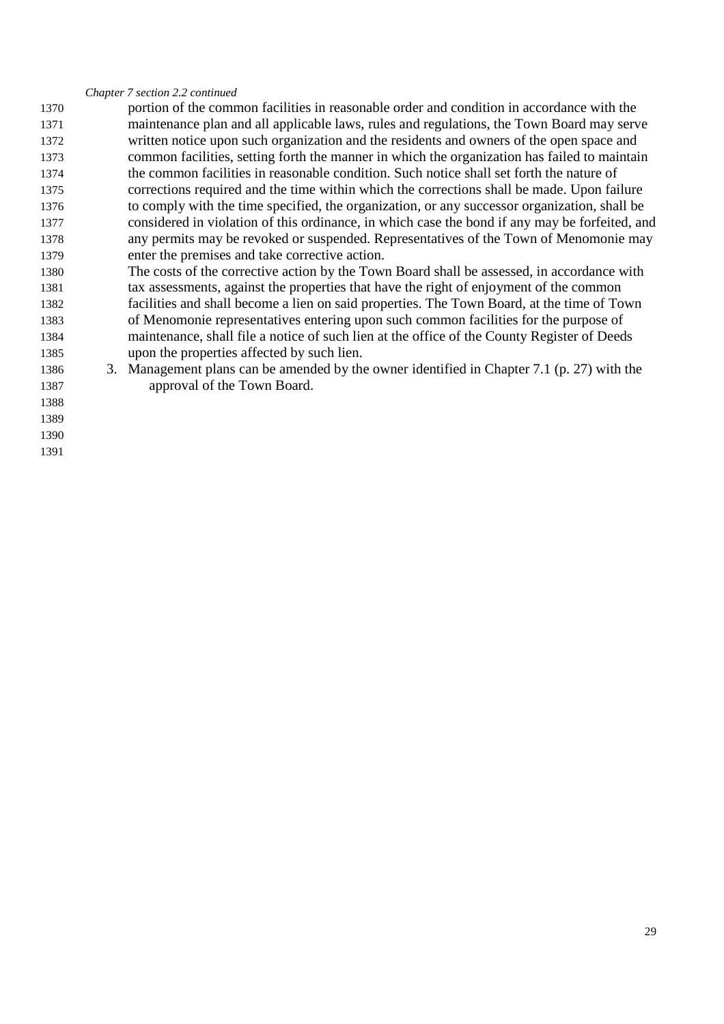*Chapter 7 section 2.2 continued* 

- portion of the common facilities in reasonable order and condition in accordance with the maintenance plan and all applicable laws, rules and regulations, the Town Board may serve written notice upon such organization and the residents and owners of the open space and common facilities, setting forth the manner in which the organization has failed to maintain the common facilities in reasonable condition. Such notice shall set forth the nature of corrections required and the time within which the corrections shall be made. Upon failure to comply with the time specified, the organization, or any successor organization, shall be considered in violation of this ordinance, in which case the bond if any may be forfeited, and any permits may be revoked or suspended. Representatives of the Town of Menomonie may enter the premises and take corrective action.
- The costs of the corrective action by the Town Board shall be assessed, in accordance with tax assessments, against the properties that have the right of enjoyment of the common facilities and shall become a lien on said properties. The Town Board, at the time of Town of Menomonie representatives entering upon such common facilities for the purpose of maintenance, shall file a notice of such lien at the office of the County Register of Deeds upon the properties affected by such lien.
- 3. Management plans can be amended by the owner identified in Chapter 7.1 (p. 27) with the approval of the Town Board.
- 
- 
- 
-